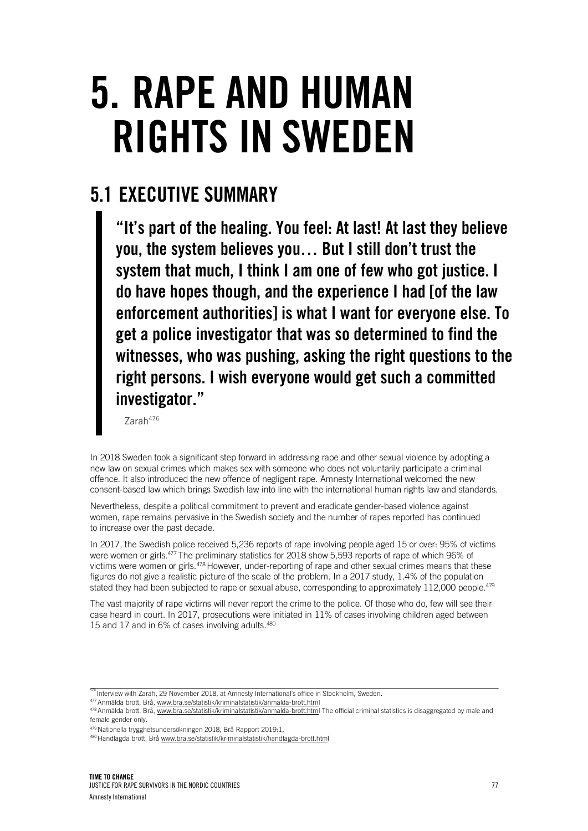# 5. RAPE AND HUMAN RIGHTS IN SWEDEN

## 5.1 EXECUTIVE SUMMARY

"It's part of the healing. You feel: At last! At last they believe you, the system believes you… But I still don't trust the system that much, I think I am one of few who got justice. I do have hopes though, and the experience I had [of the law enforcement authorities] is what I want for everyone else. To get a police investigator that was so determined to find the witnesses, who was pushing, asking the right questions to the right persons. I wish everyone would get such a committed investigator."

Zarah476

In 2018 Sweden took a significant step forward in addressing rape and other sexual violence by adopting a new law on sexual crimes which makes sex with someone who does not voluntarily participate a criminal offence. It also introduced the new offence of negligent rape. Amnesty International welcomed the new consent-based law which brings Swedish law into line with the international human rights law and standards.

Nevertheless, despite a political commitment to prevent and eradicate gender-based violence against women, rape remains pervasive in the Swedish society and the number of rapes reported has continued to increase over the past decade.

In 2017, the Swedish police received 5,236 reports of rape involving people aged 15 or over: 95% of victims were women or girls.477 The preliminary statistics for 2018 show 5,593 reports of rape of which 96% of victims were women or girls.<sup>478</sup> However, under-reporting of rape and other sexual crimes means that these figures do not give a realistic picture of the scale of the problem. In a 2017 study, 1.4% of the population stated they had been subjected to rape or sexual abuse, corresponding to approximately 112,000 people.<sup>479</sup>

The vast majority of rape victims will never report the crime to the police. Of those who do, few will see their case heard in court. In 2017, prosecutions were initiated in 11% of cases involving children aged between 15 and 17 and in 6% of cases involving adults.<sup>480</sup>

Interview with Zarah, 29 November 2018, at Amnesty International's office in Stockholm, Sweden.

<sup>477</sup> Anmälda brott, Brå, www.bra.se/statistik/kriminalstatistik/anmalda-brott.html

<sup>&</sup>lt;sup>478</sup> Anmälda brott, Brå, www.bra.se/statistik/kriminalstatistik/anmalda-brott.html The official criminal statistics is disaggregated by male and female gender only.

<sup>479</sup> Nationella trygghetsundersökningen 2018, Brå Rapport 2019:1,

<sup>480</sup> Handlagda brott, Brå www.bra.se/statistik/kriminalstatistik/handlagda-brott.html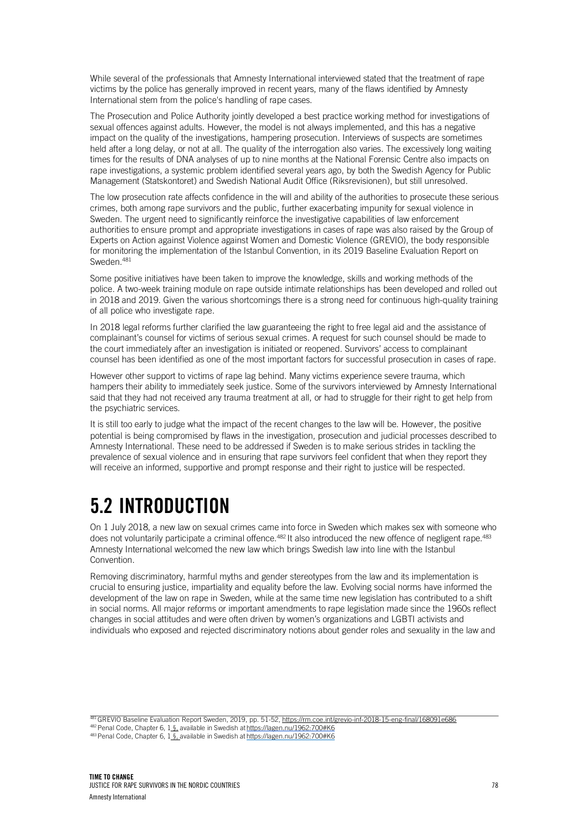While several of the professionals that Amnesty International interviewed stated that the treatment of rape victims by the police has generally improved in recent years, many of the flaws identified by Amnesty International stem from the police's handling of rape cases.

The Prosecution and Police Authority jointly developed a best practice working method for investigations of sexual offences against adults. However, the model is not always implemented, and this has a negative impact on the quality of the investigations, hampering prosecution. Interviews of suspects are sometimes held after a long delay, or not at all. The quality of the interrogation also varies. The excessively long waiting times for the results of DNA analyses of up to nine months at the National Forensic Centre also impacts on rape investigations, a systemic problem identified several years ago, by both the Swedish Agency for Public Management (Statskontoret) and Swedish National Audit Office (Riksrevisionen), but still unresolved.

The low prosecution rate affects confidence in the will and ability of the authorities to prosecute these serious crimes, both among rape survivors and the public, further exacerbating impunity for sexual violence in Sweden. The urgent need to significantly reinforce the investigative capabilities of law enforcement authorities to ensure prompt and appropriate investigations in cases of rape was also raised by the Group of Experts on Action against Violence against Women and Domestic Violence (GREVIO), the body responsible for monitoring the implementation of the Istanbul Convention, in its 2019 Baseline Evaluation Report on Sweden.<sup>481</sup>

Some positive initiatives have been taken to improve the knowledge, skills and working methods of the police. A two-week training module on rape outside intimate relationships has been developed and rolled out in 2018 and 2019. Given the various shortcomings there is a strong need for continuous high-quality training of all police who investigate rape.

In 2018 legal reforms further clarified the law guaranteeing the right to free legal aid and the assistance of complainant's counsel for victims of serious sexual crimes. A request for such counsel should be made to the court immediately after an investigation is initiated or reopened. Survivors' access to complainant counsel has been identified as one of the most important factors for successful prosecution in cases of rape.

However other support to victims of rape lag behind. Many victims experience severe trauma, which hampers their ability to immediately seek justice. Some of the survivors interviewed by Amnesty International said that they had not received any trauma treatment at all, or had to struggle for their right to get help from the psychiatric services.

It is still too early to judge what the impact of the recent changes to the law will be. However, the positive potential is being compromised by flaws in the investigation, prosecution and judicial processes described to Amnesty International. These need to be addressed if Sweden is to make serious strides in tackling the prevalence of sexual violence and in ensuring that rape survivors feel confident that when they report they will receive an informed, supportive and prompt response and their right to justice will be respected.

## 5.2 INTRODUCTION

On 1 July 2018, a new law on sexual crimes came into force in Sweden which makes sex with someone who does not voluntarily participate a criminal offence.<sup>482</sup> It also introduced the new offence of negligent rape.<sup>483</sup> Amnesty International welcomed the new law which brings Swedish law into line with the Istanbul Convention.

Removing discriminatory, harmful myths and gender stereotypes from the law and its implementation is crucial to ensuring justice, impartiality and equality before the law. Evolving social norms have informed the development of the law on rape in Sweden, while at the same time new legislation has contributed to a shift in social norms. All major reforms or important amendments to rape legislation made since the 1960s reflect changes in social attitudes and were often driven by women's organizations and LGBTI activists and individuals who exposed and rejected discriminatory notions about gender roles and sexuality in the law and

481 GREVIO Baseline Evaluation Report Sweden, 2019, pp. 51-52, https://rm.coe.int/grevio-inf-2018-15-eng-final/168091e686 482 Penal Code, Chapter 6, 1 §, available in Swedish at https://lagen.nu/1962:700#K6

483 Penal Code, Chapter 6, 1 §, available in Swedish at https://lagen.nu/1962:700#K6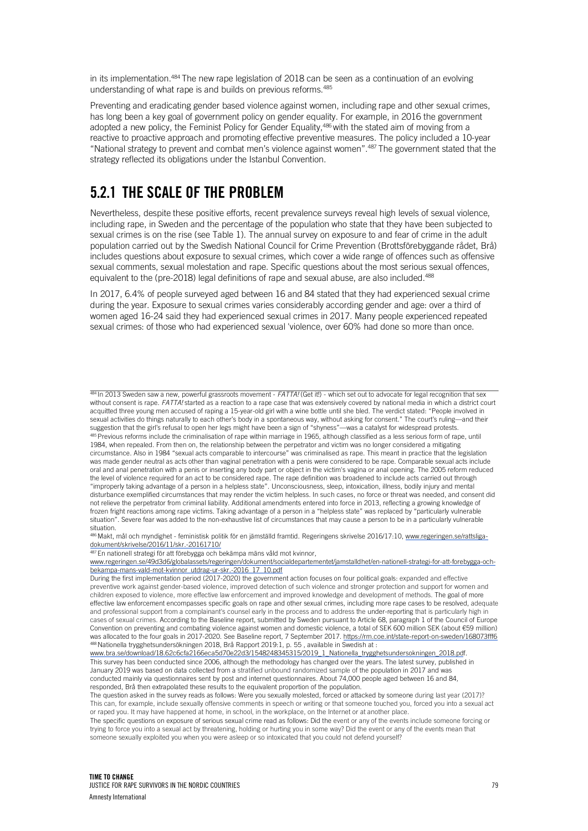in its implementation.<sup>484</sup> The new rape legislation of 2018 can be seen as a continuation of an evolving understanding of what rape is and builds on previous reforms.485

Preventing and eradicating gender based violence against women, including rape and other sexual crimes, has long been a key goal of government policy on gender equality. For example, in 2016 the government adopted a new policy, the Feminist Policy for Gender Equality,486 with the stated aim of moving from a reactive to proactive approach and promoting effective preventive measures. The policy included a 10-year "National strategy to prevent and combat men's violence against women". 487 The government stated that the strategy reflected its obligations under the Istanbul Convention.

## 5.2.1 THE SCALE OF THE PROBLEM

Nevertheless, despite these positive efforts, recent prevalence surveys reveal high levels of sexual violence, including rape, in Sweden and the percentage of the population who state that they have been subjected to sexual crimes is on the rise (see Table 1). The annual survey on exposure to and fear of crime in the adult population carried out by the Swedish National Council for Crime Prevention (Brottsförebyggande rådet, Brå) includes questions about exposure to sexual crimes, which cover a wide range of offences such as offensive sexual comments, sexual molestation and rape. Specific questions about the most serious sexual offences, equivalent to the (pre-2018) legal definitions of rape and sexual abuse, are also included.<sup>488</sup>

In 2017, 6.4% of people surveyed aged between 16 and 84 stated that they had experienced sexual crime during the year. Exposure to sexual crimes varies considerably according gender and age: over a third of women aged 16-24 said they had experienced sexual crimes in 2017. Many people experienced repeated sexual crimes: of those who had experienced sexual 'violence, over 60% had done so more than once.

484 In 2013 Sweden saw a new, powerful grassroots movement - *FATTA!* (Get it!) - which set out to advocate for legal recognition that sex without consent is rape. *FATTA!* started as a reaction to a rape case that was extensively covered by national media in which a district court acquitted three young men accused of raping a 15-year-old girl with a wine bottle until she bled. The verdict stated: "People involved in sexual activities do things naturally to each other's body in a spontaneous way, without asking for consent." The court's ruling—and their suggestion that the girl's refusal to open her legs might have been a sign of "shyness"—was a catalyst for widespread protests. 485 Previous reforms include the criminalisation of rape within marriage in 1965, although classified as a less serious form of rape, until 1984, when repealed. From then on, the relationship between the perpetrator and victim was no longer considered a mitigating circumstance. Also in 1984 "sexual acts comparable to intercourse" was criminalised as rape. This meant in practice that the legislation was made gender neutral as acts other than vaginal penetration with a penis were considered to be rape. Comparable sexual acts include oral and anal penetration with a penis or inserting any body part or object in the victim's vagina or anal opening. The 2005 reform reduced the level of violence required for an act to be considered rape. The rape definition was broadened to include acts carried out through "improperly taking advantage of a person in a helpless state". Unconsciousness, sleep, intoxication, illness, bodily injury and mental disturbance exemplified circumstances that may render the victim helpless. In such cases, no force or threat was needed, and consent did not relieve the perpetrator from criminal liability. Additional amendments entered into force in 2013, reflecting a growing knowledge of frozen fright reactions among rape victims. Taking advantage of a person in a "helpless state" was replaced by "particularly vulnerable situation". Severe fear was added to the non-exhaustive list of circumstances that may cause a person to be in a particularly vulnerable situation.

486 Makt, mål och myndighet - feministisk politik för en jämställd framtid. Regeringens skrivelse 2016/17:10, www.regeringen.se/rattsligadokument/skrivelse/2016/11/skr.-20161710/

<sup>87</sup> En nationell strategi för att förebygga och bekämpa mäns våld mot kvinnor,

www.regeringen.se/49d3d6/globalassets/regeringen/dokument/socialdepartementet/jamstalldhet/en-nationell-strategi-for-att-forebygga-ochbekampa-mans-vald-mot-kvinnor\_utdrag-ur-skr.-2016\_17\_10.pdf

During the first implementation period (2017-2020) the government action focuses on four political goals: expanded and effective preventive work against gender-based violence, improved detection of such violence and stronger protection and support for women and children exposed to violence, more effective law enforcement and improved knowledge and development of methods. The goal of more effective law enforcement encompasses specific goals on rape and other sexual crimes, including more rape cases to be resolved, adequate and professional support from a complainant's counsel early in the process and to address the under-reporting that is particularly high in cases of sexual crimes. According to the Baseline report, submitted by Sweden pursuant to Article 68, paragraph 1 of the Council of Europe Convention on preventing and combating violence against women and domestic violence, a total of SEK 600 million SEK (about €59 million) was allocated to the four goals in 2017-2020. See Baseline report, 7 September 2017. https://rm.coe.int/state-report-on-sweden/168073fff6 488 Nationella trygghetsundersökningen 2018, Brå Rapport 2019:1, p. 55 , available in Swedish at :

www.bra.se/download/18.62c6cfa2166eca5d70e22d3/1548248345315/2019\_1\_Nationella\_trygghetsundersokningen\_2018.pdf. This survey has been conducted since 2006, although the methodology has changed over the years. The latest survey, published in January 2019 was based on data collected from a stratified unbound randomized sample of the population in 2017 and was conducted mainly via questionnaires sent by post and internet questionnaires. About 74,000 people aged between 16 and 84, responded, Brå then extrapolated these results to the equivalent proportion of the population.

The question asked in the survey reads as follows: Were you sexually molested, forced or attacked by someone during last year (2017)? This can, for example, include sexually offensive comments in speech or writing or that someone touched you, forced you into a sexual act or raped you. It may have happened at home, in school, in the workplace, on the Internet or at another place.

The specific questions on exposure of serious sexual crime read as follows: Did the event or any of the events include someone forcing or trying to force you into a sexual act by threatening, holding or hurting you in some way? Did the event or any of the events mean that someone sexually exploited you when you were asleep or so intoxicated that you could not defend yourself?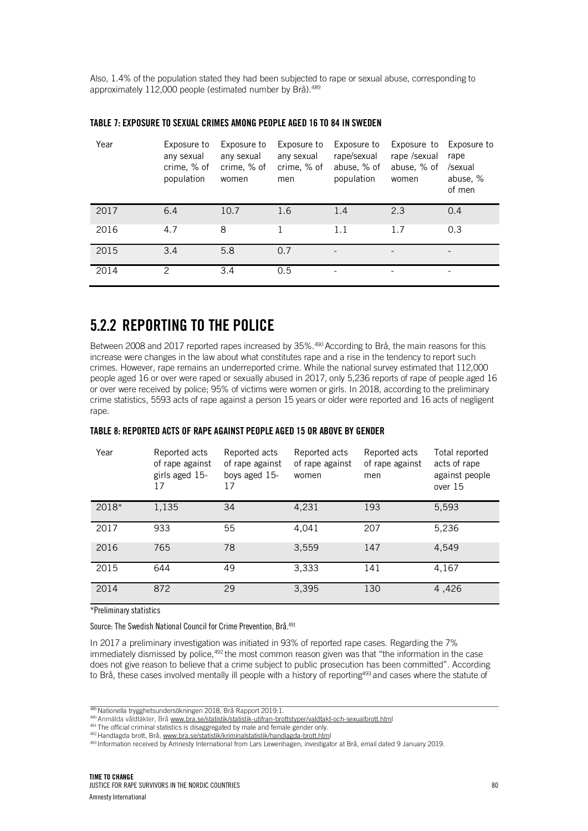Also, 1.4% of the population stated they had been subjected to rape or sexual abuse, corresponding to approximately 112,000 people (estimated number by Brå).<sup>489</sup>

| Year | Exposure to<br>any sexual<br>crime, % of<br>population | Exposure to<br>any sexual<br>crime, % of<br>women | Exposure to<br>any sexual<br>crime, % of<br>men | Exposure to<br>rape/sexual<br>abuse, % of<br>population | Exposure to<br>rape /sexual<br>abuse, % of<br>women | Exposure to<br>rape<br>/sexual<br>abuse, %<br>of men |
|------|--------------------------------------------------------|---------------------------------------------------|-------------------------------------------------|---------------------------------------------------------|-----------------------------------------------------|------------------------------------------------------|
| 2017 | 6.4                                                    | 10.7                                              | 1.6                                             | 1.4                                                     | 2.3                                                 | 0.4                                                  |
| 2016 | 4.7                                                    | 8                                                 |                                                 | 1.1                                                     | 1.7                                                 | 0.3                                                  |
| 2015 | 3.4                                                    | 5.8                                               | 0.7                                             |                                                         |                                                     |                                                      |
| 2014 | 2                                                      | 3.4                                               | 0.5                                             |                                                         | $\overline{\phantom{0}}$                            |                                                      |

#### TABLE 7: EXPOSURE TO SEXUAL CRIMES AMONG PEOPLE AGED 16 TO 84 IN SWEDEN

### 5.2.2 REPORTING TO THE POLICE

Between 2008 and 2017 reported rapes increased by 35%.490 According to Brå, the main reasons for this increase were changes in the law about what constitutes rape and a rise in the tendency to report such crimes. However, rape remains an underreported crime. While the national survey estimated that 112,000 people aged 16 or over were raped or sexually abused in 2017, only 5,236 reports of rape of people aged 16 or over were received by police; 95% of victims were women or girls. In 2018, according to the preliminary crime statistics, 5593 acts of rape against a person 15 years or older were reported and 16 acts of negligent rape.

#### TABLE 8: REPORTED ACTS OF RAPE AGAINST PEOPLE AGED 15 OR ABOVE BY GENDER

| Year  | Reported acts<br>of rape against<br>girls aged 15-<br>17 | Reported acts<br>of rape against<br>boys aged 15-<br>17 | Reported acts<br>of rape against<br>women | Reported acts<br>of rape against<br>men | Total reported<br>acts of rape<br>against people<br>over $15$ |
|-------|----------------------------------------------------------|---------------------------------------------------------|-------------------------------------------|-----------------------------------------|---------------------------------------------------------------|
| 2018* | 1,135                                                    | 34                                                      | 4,231                                     | 193                                     | 5,593                                                         |
| 2017  | 933                                                      | 55                                                      | 4,041                                     | 207                                     | 5,236                                                         |
| 2016  | 765                                                      | 78                                                      | 3,559                                     | 147                                     | 4.549                                                         |
| 2015  | 644                                                      | 49                                                      | 3,333                                     | 141                                     | 4,167                                                         |
| 2014  | 872                                                      | 29                                                      | 3,395                                     | 130                                     | 4,426                                                         |

\*Preliminary statistics

Source: The Swedish National Council for Crime Prevention, Brå.491

In 2017 a preliminary investigation was initiated in 93% of reported rape cases. Regarding the 7% immediately dismissed by police,<sup>492</sup> the most common reason given was that "the information in the case does not give reason to believe that a crime subject to public prosecution has been committed". According to Brå, these cases involved mentally ill people with a history of reporting<sup>493</sup> and cases where the statute of

<sup>489</sup> Nationella trygghetsundersökningen 2018, Brå Rapport 2019:1.

<sup>490</sup> Anmälda våldtäkter, Brå www.bra.se/statistik/statistik-utifran-brottstyper/valdtakt-och-sexualbrott.html

<sup>491</sup> The official criminal statistics is disaggregated by male and female gender only.

<sup>492</sup> Handlagda brott, Brå, www.bra.se/statistik/kriminalstatistik/handlagda-brott.html

<sup>493</sup> Information received by Amnesty International from Lars Lewenhagen, investigator at Brå, email dated 9 January 2019.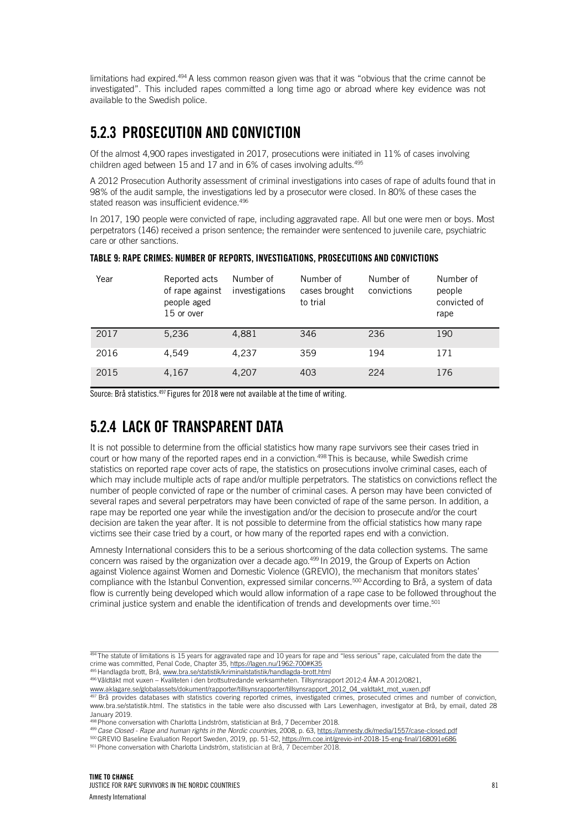limitations had expired.494 A less common reason given was that it was "obvious that the crime cannot be investigated". This included rapes committed a long time ago or abroad where key evidence was not available to the Swedish police.

## 5.2.3 PROSECUTION AND CONVICTION

Of the almost 4,900 rapes investigated in 2017, prosecutions were initiated in 11% of cases involving children aged between 15 and 17 and in 6% of cases involving adults.<sup>495</sup>

A 2012 Prosecution Authority assessment of criminal investigations into cases of rape of adults found that in 98% of the audit sample, the investigations led by a prosecutor were closed. In 80% of these cases the stated reason was insufficient evidence.<sup>496</sup>

In 2017, 190 people were convicted of rape, including aggravated rape. All but one were men or boys. Most perpetrators (146) received a prison sentence; the remainder were sentenced to juvenile care, psychiatric care or other sanctions.

TABLE 9: RAPE CRIMES: NUMBER OF REPORTS, INVESTIGATIONS, PROSECUTIONS AND CONVICTIONS

| Year | Reported acts<br>of rape against<br>people aged<br>15 or over | Number of<br>investigations | Number of<br>cases brought<br>to trial | Number of<br>convictions | Number of<br>people<br>convicted of<br>rape |
|------|---------------------------------------------------------------|-----------------------------|----------------------------------------|--------------------------|---------------------------------------------|
| 2017 | 5.236                                                         | 4,881                       | 346                                    | 236                      | 190                                         |
| 2016 | 4.549                                                         | 4,237                       | 359                                    | 194                      | 171                                         |
| 2015 | 4,167                                                         | 4,207                       | 403                                    | 224                      | 176                                         |

Source: Brå statistics.497 Figures for 2018 were not available at the time of writing.

## 5.2.4 LACK OF TRANSPARENT DATA

It is not possible to determine from the official statistics how many rape survivors see their cases tried in court or how many of the reported rapes end in a conviction. 498 This is because, while Swedish crime statistics on reported rape cover acts of rape, the statistics on prosecutions involve criminal cases*,* each of which may include multiple acts of rape and/or multiple perpetrators. The statistics on convictions reflect the number of people convicted of rape or the number of criminal cases. A person may have been convicted of several rapes and several perpetrators may have been convicted of rape of the same person. In addition, a rape may be reported one year while the investigation and/or the decision to prosecute and/or the court decision are taken the year after. It is not possible to determine from the official statistics how many rape victims see their case tried by a court, or how many of the reported rapes end with a conviction.

Amnesty International considers this to be a serious shortcoming of the data collection systems. The same concern was raised by the organization over a decade ago.<sup>499</sup> In 2019, the Group of Experts on Action against Violence against Women and Domestic Violence (GREVIO), the mechanism that monitors states' compliance with the Istanbul Convention, expressed similar concerns.<sup>500</sup> According to Brå, a system of data flow is currently being developed which would allow information of a rape case to be followed throughout the criminal justice system and enable the identification of trends and developments over time.<sup>501</sup>

495 Handlagda brott, Brå, www.bra.se/statistik/kriminalstatistik/handlagda-brott.html

496 Våldtäkt mot vuxen – Kvaliteten i den brottsutredande verksamheten. Tillsynsrapport 2012:4 ÅM-A 2012/0821,

www.aklagare.se/globalassets/dokument/rapporter/tillsynsrapporter/tillsynsrapport\_2012\_04\_valdtakt\_mot\_vuxen.pdf

497 Brå provides databases with statistics covering reported crimes, investigated crimes, prosecuted crimes and number of conviction, www.bra.se/statistik.html. The statistics in the table were also discussed with Lars Lewenhagen, investigator at Brå, by email, dated 28 January 2019.

<sup>499</sup> *Case Closed - Rape and human rights in the Nordic countries*, 2008, p. 63, https://amnesty.dk/media/1557/case-closed.pdf

500 GREVIO Baseline Evaluation Report Sweden, 2019, pp. 51-52, https://rm.coe.int/grevio-inf-2018-15-eng-final/168091e686

501 Phone conversation with Charlotta Lindström, statistician at Brå, 7 December 2018.

<sup>494</sup> The statute of limitations is 15 years for aggravated rape and 10 years for rape and "less serious" rape, calculated from the date the crime was committed, Penal Code, Chapter 35, https://lagen.nu/1962:700#K35

<sup>498</sup> Phone conversation with Charlotta Lindström, statistician at Brå, 7 December 2018.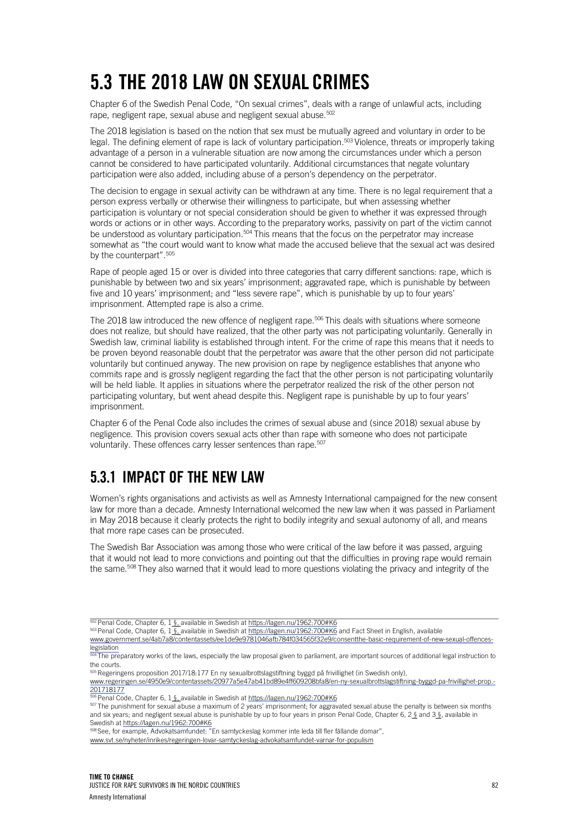## 5.3 THE 2018 LAW ON SEXUAL CRIMES

Chapter 6 of the Swedish Penal Code, "On sexual crimes", deals with a range of unlawful acts, including rape, negligent rape, sexual abuse and negligent sexual abuse. 502

The 2018 legislation is based on the notion that sex must be mutually agreed and voluntary in order to be legal. The defining element of rape is lack of voluntary participation. 503 Violence, threats or improperly taking advantage of a person in a vulnerable situation are now among the circumstances under which a person cannot be considered to have participated voluntarily. Additional circumstances that negate voluntary participation were also added, including abuse of a person's dependency on the perpetrator.

The decision to engage in sexual activity can be withdrawn at any time. There is no legal requirement that a person express verbally or otherwise their willingness to participate, but when assessing whether participation is voluntary or not special consideration should be given to whether it was expressed through words or actions or in other ways. According to the preparatory works, passivity on part of the victim cannot be understood as voluntary participation.<sup>504</sup> This means that the focus on the perpetrator may increase somewhat as "the court would want to know what made the accused believe that the sexual act was desired by the counterpart".<sup>505</sup>

Rape of people aged 15 or over is divided into three categories that carry different sanctions: rape, which is punishable by between two and six years' imprisonment; aggravated rape, which is punishable by between five and 10 years' imprisonment; and "less severe rape", which is punishable by up to four years' imprisonment. Attempted rape is also a crime.

The 2018 law introduced the new offence of negligent rape.<sup>506</sup> This deals with situations where someone does not realize, but should have realized, that the other party was not participating voluntarily. Generally in Swedish law, criminal liability is established through intent. For the crime of rape this means that it needs to be proven beyond reasonable doubt that the perpetrator was aware that the other person did not participate voluntarily but continued anyway. The new provision on rape by negligence establishes that anyone who commits rape and is grossly negligent regarding the fact that the other person is not participating voluntarily will be held liable. It applies in situations where the perpetrator realized the risk of the other person not participating voluntary, but went ahead despite this. Negligent rape is punishable by up to four years' imprisonment.

Chapter 6 of the Penal Code also includes the crimes of sexual abuse and (since 2018) sexual abuse by negligence. This provision covers sexual acts other than rape with someone who does not participate voluntarily. These offences carry lesser sentences than rape.<sup>507</sup>

## 5.3.1 IMPACT OF THE NEW LAW

Women's rights organisations and activists as well as Amnesty International campaigned for the new consent law for more than a decade. Amnesty International welcomed the new law when it was passed in Parliament in May 2018 because it clearly protects the right to bodily integrity and sexual autonomy of all, and means that more rape cases can be prosecuted.

The Swedish Bar Association was among those who were critical of the law before it was passed, arguing that it would not lead to more convictions and pointing out that the difficulties in proving rape would remain the same.<sup>508</sup> They also warned that it would lead to more questions violating the privacy and integrity of the

www.government.se/4ab7a8/contentassets/ee1de9e9781046afb784f034565f32e9/consentthe-basic-requirement-of-new-sexual-offenceslegislation

504 The preparatory works of the laws, especially the law proposal given to parliament, are important sources of additional legal instruction to the courts.

505 Regeringens proposition 2017/18:177 En ny sexualbrottslagstiftning byggd på frivillighet (in Swedish only), www.regeringen.se/4950e9/contentassets/20977a5e47ab41bd89e4ff609208bfa8/en-ny-sexualbrottslagstiftning-byggd-pa-frivillighet-prop.- 201718177

506 Penal Code, Chapter 6, 1 §, available in Swedish at https://lagen.nu/1962:700#K6

507 The punishment for sexual abuse a maximum of 2 years' imprisonment; for aggravated sexual abuse the penalty is between six months and six years; and negligent sexual abuse is punishable by up to four years in prison Penal Code, Chapter 6, 2 § and 3 §, available in Swedish at https://lagen.nu/1962:700#K6

508 See, for example, Advokatsamfundet: "En samtyckeslag kommer inte leda till fler fällande domar",

www.svt.se/nyheter/inrikes/regeringen-lovar-samtyckeslag-advokatsamfundet-varnar-for-populism

<sup>502</sup> Penal Code, Chapter 6, 1 §, available in Swedish at https://lagen.nu/1962:700#K6

<sup>503</sup> Penal Code, Chapter 6, 1 §, available in Swedish at https://lagen.nu/1962:700#K6 and Fact Sheet in English, available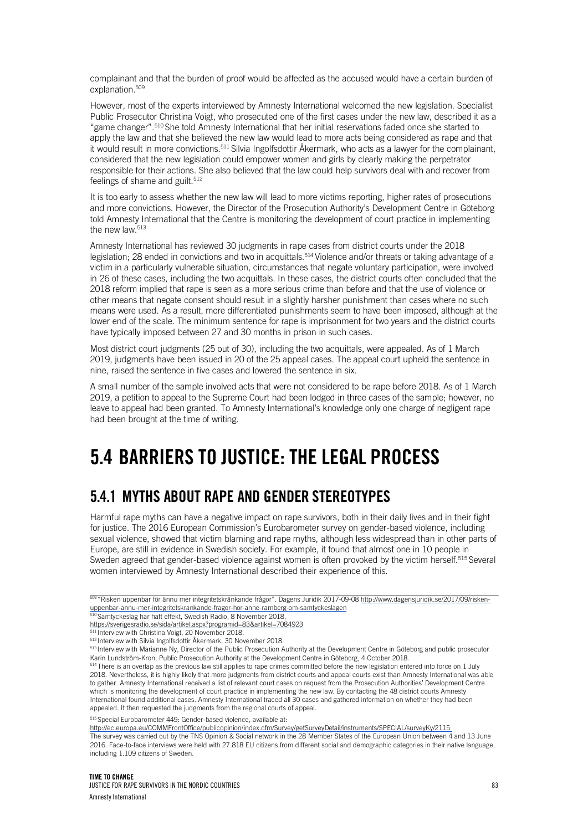complainant and that the burden of proof would be affected as the accused would have a certain burden of explanation.<sup>509</sup>

However, most of the experts interviewed by Amnesty International welcomed the new legislation. Specialist Public Prosecutor Christina Voigt, who prosecuted one of the first cases under the new law, described it as a "game changer".510 She told Amnesty International that her initial reservations faded once she started to apply the law and that she believed the new law would lead to more acts being considered as rape and that it would result in more convictions.511 Silvia Ingolfsdottir Åkermark, who acts as a lawyer for the complainant, considered that the new legislation could empower women and girls by clearly making the perpetrator responsible for their actions. She also believed that the law could help survivors deal with and recover from feelings of shame and guilt. 512

It is too early to assess whether the new law will lead to more victims reporting, higher rates of prosecutions and more convictions. However, the Director of the Prosecution Authority's Development Centre in Göteborg told Amnesty International that the Centre is monitoring the development of court practice in implementing the new law. 513

Amnesty International has reviewed 30 judgments in rape cases from district courts under the 2018 legislation; 28 ended in convictions and two in acquittals.514 Violence and/or threats or taking advantage of a victim in a particularly vulnerable situation, circumstances that negate voluntary participation, were involved in 26 of these cases, including the two acquittals. In these cases, the district courts often concluded that the 2018 reform implied that rape is seen as a more serious crime than before and that the use of violence or other means that negate consent should result in a slightly harsher punishment than cases where no such means were used. As a result, more differentiated punishments seem to have been imposed, although at the lower end of the scale. The minimum sentence for rape is imprisonment for two years and the district courts have typically imposed between 27 and 30 months in prison in such cases.

Most district court judgments (25 out of 30), including the two acquittals, were appealed. As of 1 March 2019, judgments have been issued in 20 of the 25 appeal cases. The appeal court upheld the sentence in nine, raised the sentence in five cases and lowered the sentence in six.

A small number of the sample involved acts that were not considered to be rape before 2018. As of 1 March 2019, a petition to appeal to the Supreme Court had been lodged in three cases of the sample; however, no leave to appeal had been granted. To Amnesty International's knowledge only one charge of negligent rape had been brought at the time of writing.

## 5.4 BARRIERS TO JUSTICE: THE LEGAL PROCESS

## 5.4.1 MYTHS ABOUT RAPE AND GENDER STEREOTYPES

Harmful rape myths can have a negative impact on rape survivors, both in their daily lives and in their fight for justice. The 2016 European Commission's Eurobarometer survey on gender-based violence, including sexual violence, showed that victim blaming and rape myths, although less widespread than in other parts of Europe, are still in evidence in Swedish society. For example, it found that almost one in 10 people in Sweden agreed that gender-based violence against women is often provoked by the victim herself.<sup>515</sup> Several women interviewed by Amnesty International described their experience of this.

513 Interview with Marianne Ny, Director of the Public Prosecution Authority at the Development Centre in Göteborg and public prosecutor Karin Lundström-Kron, Public Prosecution Authority at the Development Centre in Göteborg, 4 October 2018.

 $514$  There is an overlap as the previous law still applies to rape crimes committed before the new legislation entered into force on 1 July 2018. Nevertheless, it is highly likely that more judgments from district courts and appeal courts exist than Amnesty International was able to gather. Amnesty International received a list of relevant court cases on request from the Prosecution Authorities' Development Centre which is monitoring the development of court practice in implementing the new law. By contacting the 48 district courts Amnesty International found additional cases. Amnesty International traced all 30 cases and gathered information on whether they had been appealed. It then requested the judgments from the regional courts of appeal.

515 Special Eurobarometer 449: Gender-based violence, available at:

http://ec.europa.eu/COMMFrontOffice/publicopinion/index.cfm/Survey/getSurveyDetail/instruments/SPECIAL/surveyKy/2115

<sup>509 &</sup>quot;Risken uppenbar för ännu mer integritetskränkande frågor". Dagens Juridik 2017-09-08 http://www.dagensjuridik.se/2017/09/riskenuppenbar-annu-mer-integritetskrankande-fragor-hor-anne-ramberg-om-samtyckeslagen

<sup>&</sup>lt;sup>510</sup> Samtyckeslag har haft effekt, Swedish Radio, 8 November 2018,

https://sverigesradio.se/sida/artikel.aspx?programid=83&artikel=7084923

<sup>&</sup>lt;sup>1</sup> Interview with Christina Voigt, 20 November 2018.

<sup>512</sup> Interview with Silvia Ingolfsdottir Åkermark, 30 November 2018.

The survey was carried out by the TNS Opinion & Social network in the 28 Member States of the European Union between 4 and 13 June 2016. Face-to-face interviews were held with 27.818 EU citizens from different social and demographic categories in their native language, including 1.109 citizens of Sweden.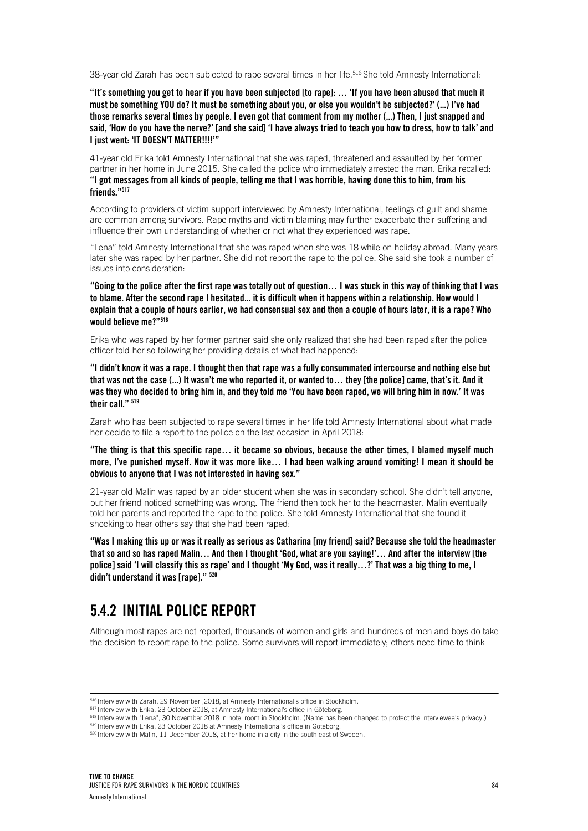38-year old Zarah has been subjected to rape several times in her life.<sup>516</sup> She told Amnesty International:

"It's something you get to hear if you have been subjected [to rape]: … 'If you have been abused that much it must be something YOU do? It must be something about you, or else you wouldn't be subjected?' (...) I've had those remarks several times by people. I even got that comment from my mother (...) Then, I just snapped and said, 'How do you have the nerve?' [and she said] 'I have always tried to teach you how to dress, how to talk' and I just went: 'IT DOESN'T MATTER!!!!'"

41-year old Erika told Amnesty International that she was raped, threatened and assaulted by her former partner in her home in June 2015. She called the police who immediately arrested the man. Erika recalled: "I got messages from all kinds of people, telling me that I was horrible, having done this to him, from his friends<sup>"517</sup>

According to providers of victim support interviewed by Amnesty International, feelings of guilt and shame are common among survivors. Rape myths and victim blaming may further exacerbate their suffering and influence their own understanding of whether or not what they experienced was rape.

"Lena" told Amnesty International that she was raped when she was 18 while on holiday abroad. Many years later she was raped by her partner. She did not report the rape to the police. She said she took a number of issues into consideration:

"Going to the police after the first rape was totally out of question… I was stuck in this way of thinking that I was to blame. After the second rape I hesitated... it is difficult when it happens within a relationship. How would I explain that a couple of hours earlier, we had consensual sex and then a couple of hours later, it is a rape? Who would believe me?"<sup>518</sup>

Erika who was raped by her former partner said she only realized that she had been raped after the police officer told her so following her providing details of what had happened:

"I didn't know it was a rape. I thought then that rape was a fully consummated intercourse and nothing else but that was not the case (...) It wasn't me who reported it, or wanted to… they [the police] came, that's it. And it was they who decided to bring him in, and they told me 'You have been raped, we will bring him in now.' It was their call." 519

Zarah who has been subjected to rape several times in her life told Amnesty International about what made her decide to file a report to the police on the last occasion in April 2018:

"The thing is that this specific rape… it became so obvious, because the other times, I blamed myself much more, I've punished myself. Now it was more like… I had been walking around vomiting! I mean it should be obvious to anyone that I was not interested in having sex."

21-year old Malin was raped by an older student when she was in secondary school. She didn't tell anyone, but her friend noticed something was wrong. The friend then took her to the headmaster. Malin eventually told her parents and reported the rape to the police. She told Amnesty International that she found it shocking to hear others say that she had been raped:

"Was I making this up or was it really as serious as Catharina [my friend] said? Because she told the headmaster that so and so has raped Malin… And then I thought 'God, what are you saying!'… And after the interview [the police] said 'I will classify this as rape' and I thought 'My God, was it really…?' That was a big thing to me, I didn't understand it was [rape]." 520

### 5.4.2 INITIAL POLICE REPORT

Although most rapes are not reported, thousands of women and girls and hundreds of men and boys do take the decision to report rape to the police. Some survivors will report immediately; others need time to think

<sup>516</sup> Interview with Zarah, 29 November ,2018, at Amnesty International's office in Stockholm.

<sup>&</sup>lt;sup>517</sup> Interview with Erika, 23 October 2018, at Amnesty International's office in Göteborg.

<sup>518</sup> Interview with "Lena", 30 November 2018 in hotel room in Stockholm. (Name has been changed to protect the interviewee's privacy.) <sup>519</sup> Interview with Erika, 23 October 2018 at Amnesty International's office in Göteborg.

<sup>520</sup> Interview with Malin, 11 December 2018, at her home in a city in the south east of Sweden.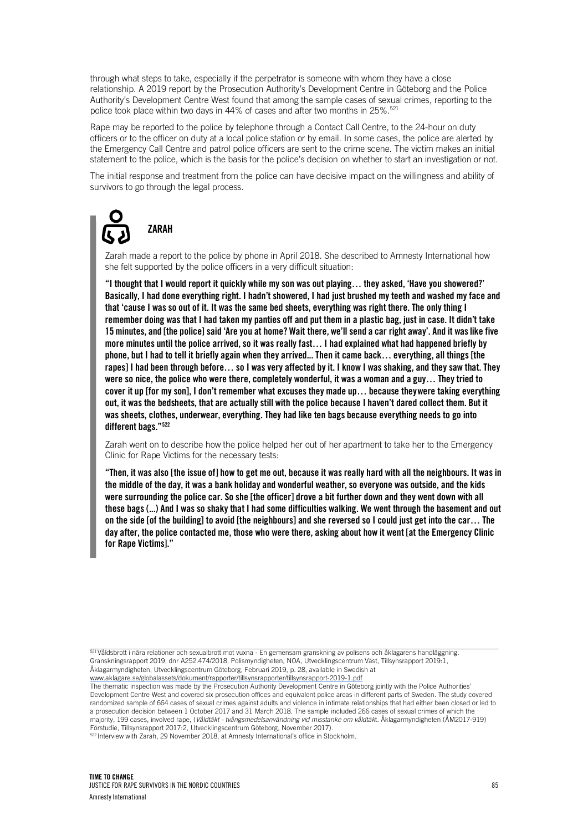through what steps to take, especially if the perpetrator is someone with whom they have a close relationship. A 2019 report by the Prosecution Authority's Development Centre in Göteborg and the Police Authority's Development Centre West found that among the sample cases of sexual crimes, reporting to the police took place within two days in 44% of cases and after two months in 25%. 521

Rape may be reported to the police by telephone through a Contact Call Centre, to the 24-hour on duty officers or to the officer on duty at a local police station or by email. In some cases, the police are alerted by the Emergency Call Centre and patrol police officers are sent to the crime scene. The victim makes an initial statement to the police, which is the basis for the police's decision on whether to start an investigation or not.

The initial response and treatment from the police can have decisive impact on the willingness and ability of survivors to go through the legal process.

## ZARAH

Zarah made a report to the police by phone in April 2018. She described to Amnesty International how she felt supported by the police officers in a very difficult situation:

"I thought that I would report it quickly while my son was out playing… they asked, 'Have you showered?' Basically, I had done everything right. I hadn't showered, I had just brushed my teeth and washed my face and that 'cause I was so out of it. It was the same bed sheets, everything was right there. The only thing I remember doing was that I had taken my panties off and put them in a plastic bag, just in case. It didn't take 15 minutes, and [the police] said 'Are you at home? Wait there, we'll send a car right away'. And it waslike five more minutes until the police arrived, so it was really fast… I had explained what had happened briefly by phone, but I had to tell it briefly again when they arrived... Then it came back… everything, all things [the rapes] I had been through before… so I was very affected by it. I know I was shaking, and they saw that. They were so nice, the police who were there, completely wonderful, it was a woman and a guy… They tried to cover it up [for my son], I don't remember what excuses they made up… because theywere taking everything out, it was the bedsheets, that are actually still with the police because I haven't dared collect them. But it was sheets, clothes, underwear, everything. They had like ten bags because everything needs to go into different bags."522

Zarah went on to describe how the police helped her out of her apartment to take her to the Emergency Clinic for Rape Victims for the necessary tests:

"Then, it was also [the issue of] how to get me out, because it was really hard with all the neighbours. It was in the middle of the day, it was a bank holiday and wonderful weather, so everyone was outside, and the kids were surrounding the police car. So she [the officer] drove a bit further down and they went down with all these bags (...) And I was so shaky that I had some difficulties walking. We went through the basement and out on the side [of the building] to avoid [the neighbours] and she reversed so I could just get into the car… The day after, the police contacted me, those who were there, asking about how it went [at the Emergency Clinic for Rape Victims]."

521 Våldsbrott i nära relationer och sexualbrott mot vuxna - En gemensam granskning av polisens och åklagarens handläggning. Granskningsrapport 2019, dnr A252.474/2018, Polismyndigheten, NOA, Utvecklingscentrum Väst, Tillsynsrapport 2019:1, Åklagarmyndigheten, Utvecklingscentrum Göteborg, Februari 2019, p. 28, available in Swedish at

www.aklagare.se/globalassets/dokument/rapporter/tillsynsrapporter/tillsynsrapport-2019-1.pdf

The thematic inspection was made by the Prosecution Authority Development Centre in Göteborg jointly with the Police Authorities' Development Centre West and covered six prosecution offices and equivalent police areas in different parts of Sweden. The study covered randomized sample of 664 cases of sexual crimes against adults and violence in intimate relationships that had either been closed or led to a prosecution decision between 1 October 2017 and 31 March 2018. The sample included 266 cases of sexual crimes of which the majority, 199 cases, involved rape, (*Våldtäkt - tvångsmedelsanvändning vid misstanke om våldtäk*t. Åklagarmyndigheten (ÅM2017-919) Förstudie, Tillsynsrapport 2017:2, Utvecklingscentrum Göteborg, November 2017).

522 Interview with Zarah, 29 November 2018, at Amnesty International's office in Stockholm.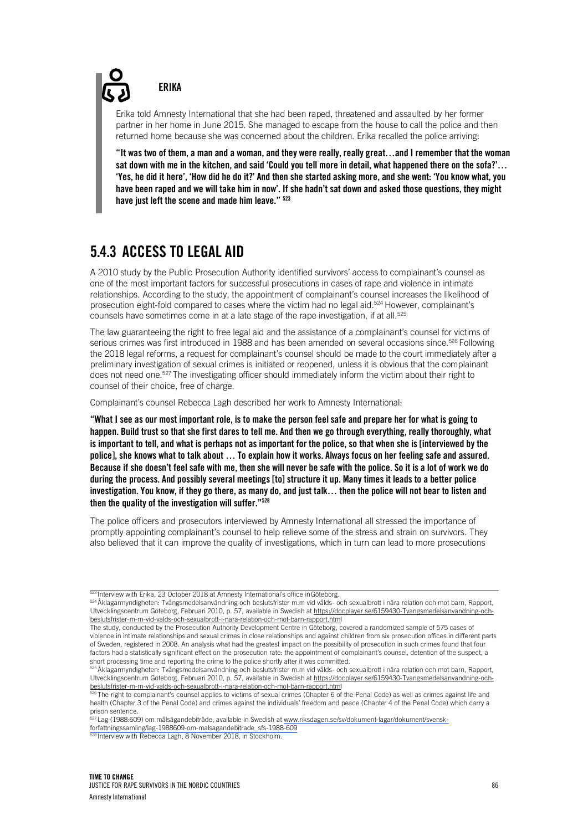**FRIKA** 

Erika told Amnesty International that she had been raped, threatened and assaulted by her former partner in her home in June 2015. She managed to escape from the house to call the police and then returned home because she was concerned about the children. Erika recalled the police arriving:

"It was two of them, a man and a woman, and they were really, really great…and I remember that the woman sat down with me in the kitchen, and said 'Could you tell more in detail, what happened there on the sofa?'… 'Yes, he did it here', 'How did he do it?' And then she started asking more, and she went: 'You know what, you have been raped and we will take him in now'. If she hadn't sat down and asked those questions, they might have just left the scene and made him leave."  $523$ 

## 5.4.3 ACCESS TO LEGAL AID

A 2010 study by the Public Prosecution Authority identified survivors' access to complainant's counsel as one of the most important factors for successful prosecutions in cases of rape and violence in intimate relationships. According to the study, the appointment of complainant's counsel increases the likelihood of prosecution eight-fold compared to cases where the victim had no legal aid.<sup>524</sup> However, complainant's counsels have sometimes come in at a late stage of the rape investigation, if at all.<sup>525</sup>

The law guaranteeing the right to free legal aid and the assistance of a complainant's counsel for victims of serious crimes was first introduced in 1988 and has been amended on several occasions since.<sup>526</sup> Following the 2018 legal reforms, a request for complainant's counsel should be made to the court immediately after a preliminary investigation of sexual crimes is initiated or reopened, unless it is obvious that the complainant does not need one.<sup>527</sup> The investigating officer should immediately inform the victim about their right to counsel of their choice, free of charge.

Complainant's counsel Rebecca Lagh described her work to Amnesty International:

"What I see as our most important role, is to make the person feel safe and prepare her for what is going to happen. Build trust so that she first dares to tell me. And then we go through everything, really thoroughly, what is important to tell, and what is perhaps not as important for the police, so that when she is [interviewed by the police], she knows what to talk about … To explain how it works. Always focus on her feeling safe and assured. Because if she doesn't feel safe with me, then she will never be safe with the police. So it is a lot of work we do during the process. And possibly several meetings [to] structure it up. Many times it leads to a better police investigation. You know, if they go there, as many do, and just talk… then the police will not bear to listen and then the quality of the investigation will suffer."<sup>528</sup>

The police officers and prosecutors interviewed by Amnesty International all stressed the importance of promptly appointing complainant's counsel to help relieve some of the stress and strain on survivors. They also believed that it can improve the quality of investigations, which in turn can lead to more prosecutions

<sup>523</sup> Interview with Erika, 23 October 2018 at Amnesty International's office in Göteborg.

<sup>524</sup> Åklagarmyndigheten: Tvångsmedelsanvändning och beslutsfrister m.m vid vålds- och sexualbrott i nära relation och mot barn, Rapport, Utvecklingscentrum Göteborg, Februari 2010, p. 57, available in Swedish at https://docplayer.se/6159430-Tvangsmedelsanvandning-ochbeslutsfrister-m-m-vid-valds-och-sexualbrott-i-nara-relation-och-mot-barn-rapport.html

The study, conducted by the Prosecution Authority Development Centre in Göteborg, covered a randomized sample of 575 cases of violence in intimate relationships and sexual crimes in close relationships and against children from six prosecution offices in different parts of Sweden, registered in 2008. An analysis what had the greatest impact on the possibility of prosecution in such crimes found that four factors had a statistically significant effect on the prosecution rate: the appointment of complainant's counsel, detention of the suspect, a short processing time and reporting the crime to the police shortly after it was committed.

<sup>525</sup> Åklagarmyndigheten: Tvångsmedelsanvändning och beslutsfrister m.m vid vålds- och sexualbrott i nära relation och mot barn, Rapport, Utvecklingscentrum Göteborg, Februari 2010, p. 57, available in Swedish at https://docplayer.se/6159430-Tvangsmedelsanvandning-ochbeslutsfrister-m-m-vid-valds-och-sexualbrott-i-nara-relation-och-mot-barn-rapport.html

<sup>526</sup> The right to complainant's counsel applies to victims of sexual crimes (Chapter 6 of the Penal Code) as well as crimes against life and health (Chapter 3 of the Penal Code) and crimes against the individuals' freedom and peace (Chapter 4 of the Penal Code) which carry a prison sentence.

<sup>&</sup>lt;u>.</u><br><sup>527</sup> Lag (1988:609) om målsägandebiträde, available in Swedish at <u>www.riksdagen.se/sv/dokument-lagar/dokument/svensk-</u> forfattningssamling/lag-1988609-om-malsagandebitrade\_sfs-1988-609

<sup>&</sup>lt;sup>28</sup> Interview with Rebecca Lagh, 8 November 2018, in Stockholm.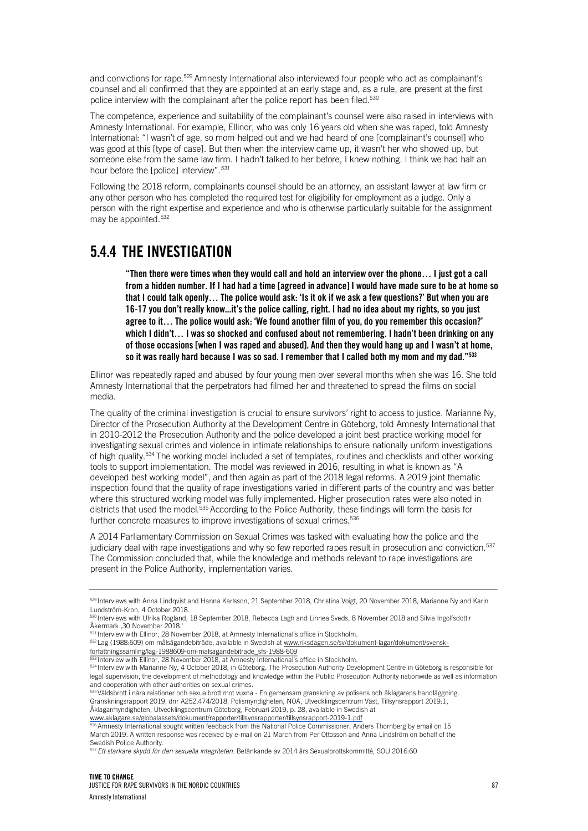and convictions for rape.<sup>529</sup> Amnesty International also interviewed four people who act as complainant's counsel and all confirmed that they are appointed at an early stage and, as a rule, are present at the first police interview with the complainant after the police report has been filed.<sup>530</sup>

The competence, experience and suitability of the complainant's counsel were also raised in interviews with Amnesty International. For example, Ellinor, who was only 16 years old when she was raped, told Amnesty International: "I wasn't of age, so mom helped out and we had heard of one [complainant's counsel] who was good at this [type of case]. But then when the interview came up, it wasn't her who showed up, but someone else from the same law firm. I hadn't talked to her before, I knew nothing. I think we had half an hour before the [police] interview".*<sup>531</sup>*

Following the 2018 reform, complainants counsel should be an attorney, an assistant lawyer at law firm or any other person who has completed the required test for eligibility for employment as a judge. Only a person with the right expertise and experience and who is otherwise particularly suitable for the assignment may be appointed.<sup>532</sup>

### 5.4.4 THE INVESTIGATION

"Then there were times when they would call and hold an interview over the phone… I just got a call from a hidden number. If I had had a time [agreed in advance] I would have made sure to be at home so that I could talk openly… The police would ask: 'Is it ok if we ask a few questions?' But when you are 16-17 you don't really know...it's the police calling, right. I had no idea about my rights, so you just agree to it… The police would ask: 'We found another film of you, do you remember this occasion?' which I didn't… I was so shocked and confused about not remembering. I hadn't been drinking on any of those occasions [when I was raped and abused]. And then they would hang up and I wasn't at home, so it was really hard because I was so sad. I remember that I called both my mom and my dad."533

Ellinor was repeatedly raped and abused by four young men over several months when she was 16. She told Amnesty International that the perpetrators had filmed her and threatened to spread the films on social media.

The quality of the criminal investigation is crucial to ensure survivors' right to access to justice. Marianne Ny, Director of the Prosecution Authority at the Development Centre in Göteborg, told Amnesty International that in 2010-2012 the Prosecution Authority and the police developed a joint best practice working model for investigating sexual crimes and violence in intimate relationships to ensure nationally uniform investigations of high quality.<sup>534</sup> The working model included a set of templates, routines and checklists and other working tools to support implementation. The model was reviewed in 2016, resulting in what is known as "A developed best working model", and then again as part of the 2018 legal reforms. A 2019 joint thematic inspection found that the quality of rape investigations varied in different parts of the country and was better where this structured working model was fully implemented. Higher prosecution rates were also noted in districts that used the model.<sup>535</sup> According to the Police Authority, these findings will form the basis for further concrete measures to improve investigations of sexual crimes.<sup>536</sup>

A 2014 Parliamentary Commission on Sexual Crimes was tasked with evaluating how the police and the judiciary deal with rape investigations and why so few reported rapes result in prosecution and conviction.<sup>537</sup> The Commission concluded that, while the knowledge and methods relevant to rape investigations are present in the Police Authority, implementation varies.

<sup>3</sup> Interview with Ellinor, 28 November 2018, at Amnesty International's office in Stockholm.

535 Våldsbrott i nära relationer och sexualbrott mot vuxna - En gemensam granskning av polisens och åklagarens handläggning. Granskningsrapport 2019, dnr A252.474/2018, Polismyndigheten, NOA, Utvecklingscentrum Väst, Tillsynsrapport 2019:1, Åklagarmyndigheten, Utvecklingscentrum Göteborg, Februari 2019, p. 28, available in Swedish at www.aklagare.se/globalassets/dokument/rapporter/tillsynsrapporter/tillsynsrapport-2019-1.pdf

<sup>6</sup> Amnesty International sought written feedback from the National Police Commissioner, Anders Thornberg by email on 15 March 2019. A written response was received by e-mail on 21 March from Per Ottosson and Anna Lindström on behalf of the Swedish Police Authority.

<sup>529</sup> Interviews with Anna Lindqvist and Hanna Karlsson, 21 September 2018, Christina Voigt, 20 November 2018, Marianne Ny and Karin Lundström-Kron, 4 October 2018.

<sup>530</sup> Interviews with Ulrika Rogland, 18 September 2018, Rebecca Lagh and Linnea Sveds, 8 November 2018 and Silvia Ingolfsdottir Åkermark ,30 November 2018.'

<sup>531</sup> Interview with Ellinor, 28 November 2018, at Amnesty International's office in Stockholm.

<sup>532</sup> Lag (1988:609) om målsägandebiträde, available in Swedish at www.riksdagen.se/sv/dokument-lagar/dokument/svenskforfattningssamling/lag-1988609-om-malsagandebitrade\_sfs-1988-609

<sup>534</sup> Interview with Marianne Ny, 4 October 2018, in Göteborg. The Prosecution Authority Development Centre in Göteborg is responsible for legal supervision, the development of methodology and knowledge within the Public Prosecution Authority nationwide as well as information and cooperation with other authorities on sexual crimes.

<sup>537</sup> *Ett starkare skydd för den sexuella integriteten.* Betänkande av 2014 års Sexualbrottskommitté, SOU 2016:60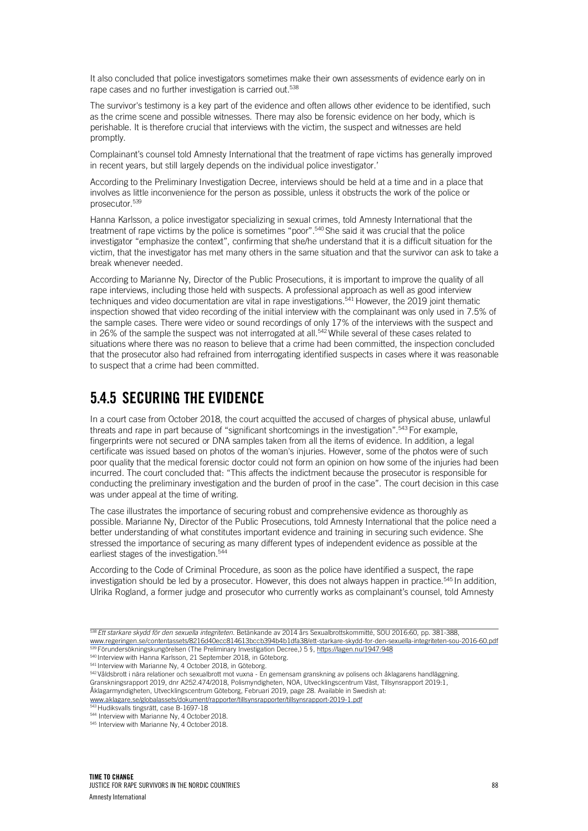It also concluded that police investigators sometimes make their own assessments of evidence early on in rape cases and no further investigation is carried out.<sup>538</sup>

The survivor's testimony is a key part of the evidence and often allows other evidence to be identified, such as the crime scene and possible witnesses. There may also be forensic evidence on her body, which is perishable. It is therefore crucial that interviews with the victim, the suspect and witnesses are held promptly.

Complainant's counsel told Amnesty International that the treatment of rape victims has generally improved in recent years, but still largely depends on the individual police investigator.'

According to the Preliminary Investigation Decree, interviews should be held at a time and in a place that involves as little inconvenience for the person as possible, unless it obstructs the work of the police or prosecutor.539

Hanna Karlsson, a police investigator specializing in sexual crimes, told Amnesty International that the treatment of rape victims by the police is sometimes "poor".540 She said it was crucial that the police investigator "emphasize the context", confirming that she/he understand that it is a difficult situation for the victim, that the investigator has met many others in the same situation and that the survivor can ask to take a break whenever needed.

According to Marianne Ny, Director of the Public Prosecutions, it is important to improve the quality of all rape interviews, including those held with suspects. A professional approach as well as good interview techniques and video documentation are vital in rape investigations.<sup>541</sup> However, the 2019 joint thematic inspection showed that video recording of the initial interview with the complainant was only used in 7.5% of the sample cases. There were video or sound recordings of only 17% of the interviews with the suspect and in 26% of the sample the suspect was not interrogated at all.<sup>542</sup> While several of these cases related to situations where there was no reason to believe that a crime had been committed, the inspection concluded that the prosecutor also had refrained from interrogating identified suspects in cases where it was reasonable to suspect that a crime had been committed.

## 5.4.5 SECURING THE EVIDENCE

In a court case from October 2018, the court acquitted the accused of charges of physical abuse, unlawful threats and rape in part because of "significant shortcomings in the investigation".<sup>543</sup> For example, fingerprints were not secured or DNA samples taken from all the items of evidence. In addition, a legal certificate was issued based on photos of the woman's injuries. However, some of the photos were of such poor quality that the medical forensic doctor could not form an opinion on how some of the injuries had been incurred. The court concluded that: "This affects the indictment because the prosecutor is responsible for conducting the preliminary investigation and the burden of proof in the case". The court decision in this case was under appeal at the time of writing.

The case illustrates the importance of securing robust and comprehensive evidence as thoroughly as possible. Marianne Ny, Director of the Public Prosecutions, told Amnesty International that the police need a better understanding of what constitutes important evidence and training in securing such evidence. She stressed the importance of securing as many different types of independent evidence as possible at the earliest stages of the investigation. 544

According to the Code of Criminal Procedure, as soon as the police have identified a suspect, the rape investigation should be led by a prosecutor. However, this does not always happen in practice.<sup>545</sup> In addition, Ulrika Rogland, a former judge and prosecutor who currently works as complainant's counsel, told Amnesty

<sup>538</sup>*Ett starkare skydd för den sexuella integriteten.* Betänkande av 2014 års Sexualbrottskommitté, SOU 2016:60, pp. 381-388, www.regeringen.se/contentassets/8216d40ecc814613bccb394b4b1dfa38/ett-starkare-skydd-for-den-sexuella-integriteten-sou-2016-60.pdf 539 Förundersökningskungörelsen (The Preliminary Investigation Decree,) 5 §, https://lagen.nu/1947:948

<sup>540</sup> Interview with Hanna Karlsson, 21 September 2018, in Göteborg.

<sup>541</sup> Interview with Marianne Ny, 4 October 2018, in Göteborg.

<sup>542</sup> Våldsbrott i nära relationer och sexualbrott mot vuxna - En gemensam granskning av polisens och åklagarens handläggning. Granskningsrapport 2019, dnr A252.474/2018, Polismyndigheten, NOA, Utvecklingscentrum Väst, Tillsynsrapport 2019:1, Åklagarmyndigheten, Utvecklingscentrum Göteborg, Februari 2019, page 28. Available in Swedish at:

www.aklagare.se/globalassets/dokument/rapporter/tillsynsrapporter/tillsynsrapport-2019-1.pdf

<sup>543</sup> Hudiksvalls tingsrätt, case B-1697-18

<sup>544</sup> Interview with Marianne Ny, 4 October 2018.

<sup>545</sup> Interview with Marianne Ny, 4 October 2018.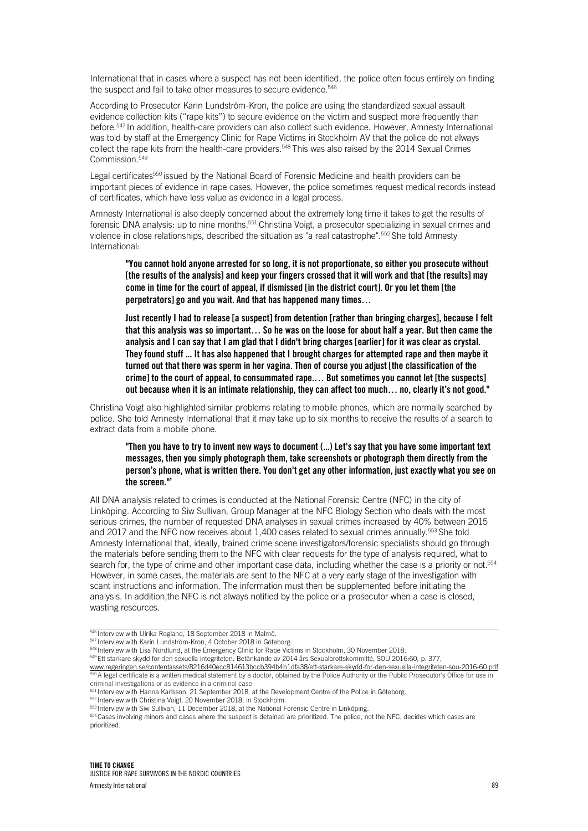International that in cases where a suspect has not been identified, the police often focus entirely on finding the suspect and fail to take other measures to secure evidence.<sup>546</sup>

According to Prosecutor Karin Lundström-Kron, the police are using the standardized sexual assault evidence collection kits ("rape kits") to secure evidence on the victim and suspect more frequently than before.547 In addition, health-care providers can also collect such evidence. However, Amnesty International was told by staff at the Emergency Clinic for Rape Victims in Stockholm AV that the police do not always collect the rape kits from the health-care providers. <sup>548</sup> This was also raised by the 2014 Sexual Crimes Commission.<sup>549</sup>

Legal certificates<sup>550</sup> issued by the National Board of Forensic Medicine and health providers can be important pieces of evidence in rape cases. However, the police sometimes request medical records instead of certificates, which have less value as evidence in a legal process.

Amnesty International is also deeply concerned about the extremely long time it takes to get the results of forensic DNA analysis: up to nine months.<sup>551</sup> Christina Voigt, a prosecutor specializing in sexual crimes and violence in close relationships, described the situation as "a real catastrophe".552 She told Amnesty International:

"You cannot hold anyone arrested for so long, it is not proportionate, so either you prosecute without [the results of the analysis] and keep your fingers crossed that it will work and that [the results] may come in time for the court of appeal, if dismissed [in the district court]. Or you let them [the perpetrators] go and you wait. And that has happened many times…

Just recently I had to release [a suspect] from detention [rather than bringing charges], because I felt that this analysis was so important… So he was on the loose for about half a year. But then came the analysis and I can say that I am glad that I didn't bring charges [earlier] for it was clear as crystal. They found stuff ... It has also happened that I brought charges for attempted rape and then maybe it turned out that there was sperm in her vagina. Then of course you adjust [the classification of the crime] to the court of appeal, to consummated rape.… But sometimes you cannot let [the suspects] out because when it is an intimate relationship, they can affect too much… no, clearly it's not good."

Christina Voigt also highlighted similar problems relating to mobile phones, which are normally searched by police. She told Amnesty International that it may take up to six months to receive the results of a search to extract data from a mobile phone.

"Then you have to try to invent new ways to document (...) Let's say that you have some important text messages, then you simply photograph them, take screenshots or photograph them directly from the person's phone, what is written there. You don't get any other information, just exactly what you see on the screen."'

All DNA analysis related to crimes is conducted at the National Forensic Centre (NFC) in the city of Linköping. According to Siw Sullivan, Group Manager at the NFC Biology Section who deals with the most serious crimes, the number of requested DNA analyses in sexual crimes increased by 40% between 2015 and 2017 and the NFC now receives about 1,400 cases related to sexual crimes annually.<sup>553</sup> She told Amnesty International that, ideally, trained crime scene investigators/forensic specialists should go through the materials before sending them to the NFC with clear requests for the type of analysis required, what to search for, the type of crime and other important case data, including whether the case is a priority or not.<sup>554</sup> However, in some cases, the materials are sent to the NFC at a very early stage of the investigation with scant instructions and information. The information must then be supplemented before initiating the analysis. In addition,the NFC is not always notified by the police or a prosecutor when a case is closed, wasting resources.

554 Cases involving minors and cases where the suspect is detained are prioritized. The police, not the NFC, decides which cases are prioritized.

<sup>546</sup> Interview with Ulrika Rogland, 18 September 2018 in Malmö.

<sup>547</sup> Interview with Karin Lundström-Kron, 4 October 2018 in Göteborg.

<sup>548</sup> Interview with Lisa Nordlund, at the Emergency Clinic for Rape Victims in Stockholm, 30 November 2018.

<sup>549</sup> Ett starkare skydd för den sexuella integriteten. Betänkande av 2014 års Sexualbrottskommitté, SOU 2016:60, p. 377,

www.regeringen.se/contentassets/8216d40ecc814613bccb394b4b1dfa38/ett-starkare-skydd-for-den-sexuella-integriteten-sou-2016-60.pdf 550 A legal certificate is a written medical statement by a doctor, obtained by the Police Authority or the Public Prosecutor's Office for use in criminal investigations or as evidence in a criminal case

<sup>551</sup> Interview with Hanna Karlsson, 21 September 2018, at the Development Centre of the Police in Göteborg.

<sup>552</sup> Interview with Christina Voigt, 20 November 2018, in Stockholm.

<sup>553</sup> Interview with Siw Sullivan, 11 December 2018, at the National Forensic Centre in Linköping.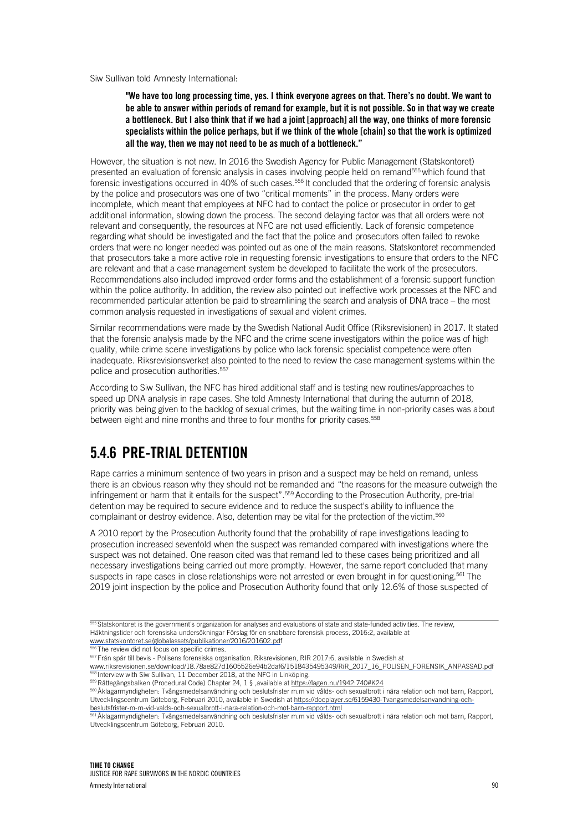#### Siw Sullivan told Amnesty International:

#### "We have too long processing time, yes. I think everyone agrees on that. There's no doubt. We want to be able to answer within periods of remand for example, but it is not possible. So in that way we create a bottleneck. But I also think that if we had a joint [approach] all the way, one thinks of more forensic specialists within the police perhaps, but if we think of the whole [chain] so that the work is optimized all the way, then we may not need to be as much of a bottleneck."

However, the situation is not new. In 2016 the Swedish Agency for Public Management (Statskontoret) presented an evaluation of forensic analysis in cases involving people held on remand<sup>555</sup> which found that forensic investigations occurred in 40% of such cases. 556 It concluded that the ordering of forensic analysis by the police and prosecutors was one of two "critical moments" in the process. Many orders were incomplete, which meant that employees at NFC had to contact the police or prosecutor in order to get additional information, slowing down the process. The second delaying factor was that all orders were not relevant and consequently, the resources at NFC are not used efficiently. Lack of forensic competence regarding what should be investigated and the fact that the police and prosecutors often failed to revoke orders that were no longer needed was pointed out as one of the main reasons. Statskontoret recommended that prosecutors take a more active role in requesting forensic investigations to ensure that orders to the NFC are relevant and that a case management system be developed to facilitate the work of the prosecutors. Recommendations also included improved order forms and the establishment of a forensic support function within the police authority. In addition, the review also pointed out ineffective work processes at the NFC and recommended particular attention be paid to streamlining the search and analysis of DNA trace – the most common analysis requested in investigations of sexual and violent crimes.

Similar recommendations were made by the Swedish National Audit Office (Riksrevisionen) in 2017. It stated that the forensic analysis made by the NFC and the crime scene investigators within the police was of high quality, while crime scene investigations by police who lack forensic specialist competence were often inadequate. Riksrevisionsverket also pointed to the need to review the case management systems within the police and prosecution authorities.<sup>557</sup>

According to Siw Sullivan, the NFC has hired additional staff and is testing new routines/approaches to speed up DNA analysis in rape cases. She told Amnesty International that during the autumn of 2018, priority was being given to the backlog of sexual crimes, but the waiting time in non-priority cases was about between eight and nine months and three to four months for priority cases.<sup>558</sup>

### 5.4.6 PRE-TRIAL DETENTION

Rape carries a minimum sentence of two years in prison and a suspect may be held on remand, unless there is an obvious reason why they should not be remanded and "the reasons for the measure outweigh the infringement or harm that it entails for the suspect".559 According to the Prosecution Authority, pre-trial detention may be required to secure evidence and to reduce the suspect's ability to influence the complainant or destroy evidence. Also, detention may be vital for the protection of the victim.560

A 2010 report by the Prosecution Authority found that the probability of rape investigations leading to prosecution increased sevenfold when the suspect was remanded compared with investigations where the suspect was not detained. One reason cited was that remand led to these cases being prioritized and all necessary investigations being carried out more promptly. However, the same report concluded that many suspects in rape cases in close relationships were not arrested or even brought in for questioning.<sup>561</sup> The 2019 joint inspection by the police and Prosecution Authority found that only 12.6% of those suspected of

- www.statskontoret.se/globalassets/publikationer/2016/201602.pdf
- <sup>5</sup>The review did not focus on specific crimes.

557 Från spår till bevis - Polisens forensiska organisation. Riksrevisionen, RIR 2017:6, available in Swedish at www.riksrevisionen.se/download/18.78ae827d1605526e94b2daf6/1518435495349/RiR\_2017\_16\_POLISEN\_FORENSIK\_ANPASSAD.pdf

**EXALUATE:** Interview with Siw Sullivan, 11 December 2018, at the NFC in Linköping. 559 Rättegångsbalken (Procedural Code) Chapter 24, 1 § ,available at https://lagen.nu/1942:740#K24

560 Åklagarmyndigheten: Tvångsmedelsanvändning och beslutsfrister m.m vid vålds- och sexualbrott i nära relation och mot barn, Rapport, Utvecklingscentrum Göteborg, Februari 2010, available in Swedish at https://docplayer.se/6159430-Tvangsmedelsanvandning-ochbeslutsfrister-m-m-vid-valds-och-sexualbrott-i-nara-relation-och-mot-barn-rapport.html

<sup>1</sup> Åklagarmyndigheten: Tvångsmedelsanvändning och beslutsfrister m.m vid vålds- och sexualbrott i nära relation och mot barn, Rapport, Utvecklingscentrum Göteborg, Februari 2010.

 $555$  Statskontoret is the government's organization for analyses and evaluations of state and state-funded activities. The review, Häktningstider och forensiska undersökningar Förslag för en snabbare forensisk process, 2016:2, available at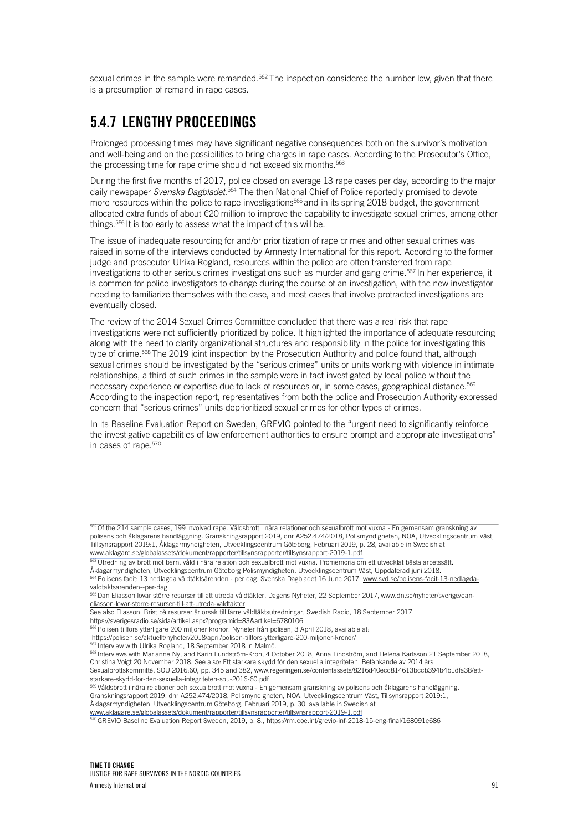sexual crimes in the sample were remanded.<sup>562</sup> The inspection considered the number low, given that there is a presumption of remand in rape cases.

## 5.4.7 LENGTHY PROCEEDINGS

Prolonged processing times may have significant negative consequences both on the survivor's motivation and well-being and on the possibilities to bring charges in rape cases. According to the Prosecutor's Office, the processing time for rape crime should not exceed six months.<sup>563</sup>

During the first five months of 2017, police closed on average 13 rape cases per day, according to the major daily newspaper *Svenska Dagbladet*. 564 The then National Chief of Police reportedly promised to devote more resources within the police to rape investigations<sup>565</sup> and in its spring 2018 budget, the government allocated extra funds of about €20 million to improve the capability to investigate sexual crimes, among other things.<sup>566</sup> It is too early to assess what the impact of this will be.

The issue of inadequate resourcing for and/or prioritization of rape crimes and other sexual crimes was raised in some of the interviews conducted by Amnesty International for this report. According to the former judge and prosecutor Ulrika Rogland, resources within the police are often transferred from rape investigations to other serious crimes investigations such as murder and gang crime.567 In her experience, it is common for police investigators to change during the course of an investigation, with the new investigator needing to familiarize themselves with the case, and most cases that involve protracted investigations are eventually closed.

The review of the 2014 Sexual Crimes Committee concluded that there was a real risk that rape investigations were not sufficiently prioritized by police. It highlighted the importance of adequate resourcing along with the need to clarify organizational structures and responsibility in the police for investigating this type of crime.<sup>568</sup> The 2019 joint inspection by the Prosecution Authority and police found that, although sexual crimes should be investigated by the "serious crimes" units or units working with violence in intimate relationships, a third of such crimes in the sample were in fact investigated by local police without the necessary experience or expertise due to lack of resources or, in some cases, geographical distance. 569 According to the inspection report, representatives from both the police and Prosecution Authority expressed concern that "serious crimes" units deprioritized sexual crimes for other types of crimes.

In its Baseline Evaluation Report on Sweden, GREVIO pointed to the "urgent need to significantly reinforce the investigative capabilities of law enforcement authorities to ensure prompt and appropriate investigations" in cases of rape.570

<sup>562</sup> Of the 214 sample cases, 199 involved rape. Våldsbrott i nära relationer och sexualbrott mot vuxna - En gemensam granskning av polisens och åklagarens handläggning. Granskningsrapport 2019, dnr A252.474/2018, Polismyndigheten, NOA, Utvecklingscentrum Väst, Tillsynsrapport 2019:1, Åklagarmyndigheten, Utvecklingscentrum Göteborg, Februari 2019, p. 28, available in Swedish at www.aklagare.se/globalassets/dokument/rapporter/tillsynsrapporter/tillsynsrapport-2019-1.pdf

<sup>563</sup> Utredning av brott mot barn, våld i nära relation och sexualbrott mot vuxna. Promemoria om ett utvecklat bästa arbetssätt.

Åklagarmyndigheten, Utvecklingscentrum Göteborg Polismyndigheten, Utvecklingscentrum Väst, Uppdaterad juni 2018.

<sup>564</sup> Polisens facit: 13 nedlagda våldtäktsärenden - per dag. Svenska Dagbladet 16 June 2017, www.svd.se/polisens-facit-13-nedlagdavaldtaktsarenden--per-dag

<sup>565</sup> Dan Eliasson lovar större resurser till att utreda våldtäkter, Dagens Nyheter, 22 September 2017, www.dn.se/nyheter/sverige/daneliasson-lovar-storre-resurser-till-att-utreda-valdtakter

See also Eliasson: Brist på resurser är orsak till färre våldtäktsutredningar, Swedish Radio, 18 September 2017,

https://sverigesradio.se/sida/artikel.aspx?programid=83&artikel=6780106

<sup>566</sup> Polisen tillförs ytterligare 200 miljoner kronor. Nyheter från polisen, 3 April 2018, available at:

https://polisen.se/aktuellt/nyheter/2018/april/polisen-tillfors-ytterligare-200-miljoner-kronor/

<sup>567</sup> Interview with Ulrika Rogland, 18 September 2018 in Malmö.

<sup>568</sup> Interviews with Marianne Ny, and Karin Lundström-Kron, 4 October 2018, Anna Lindström, and Helena Karlsson 21 September 2018, Christina Voigt 20 November 2018. See also: Ett starkare skydd för den sexuella integriteten. Betänkande av 2014 års

Sexualbrottskommitté, SOU 2016:60, pp. 345 and 382, www.regeringen.se/contentassets/8216d40ecc814613bccb394b4b1dfa38/ettstarkare-skydd-for-den-sexuella-integriteten-sou-2016-60.pdf

<sup>569</sup> Våldsbrott i nära relationer och sexualbrott mot vuxna - En gemensam granskning av polisens och åklagarens handläggning. Granskningsrapport 2019, dnr A252.474/2018, Polismyndigheten, NOA, Utvecklingscentrum Väst, Tillsynsrapport 2019:1,

Åklagarmyndigheten, Utvecklingscentrum Göteborg, Februari 2019, p. 30, available in Swedish at

www.aklagare.se/globalassets/dokument/rapporter/tillsynsrapporter/tillsynsrapport-2019-1.pdf

<sup>570</sup> GREVIO Baseline Evaluation Report Sweden, 2019, p. 8., https://rm.coe.int/grevio-inf-2018-15-eng-final/168091e686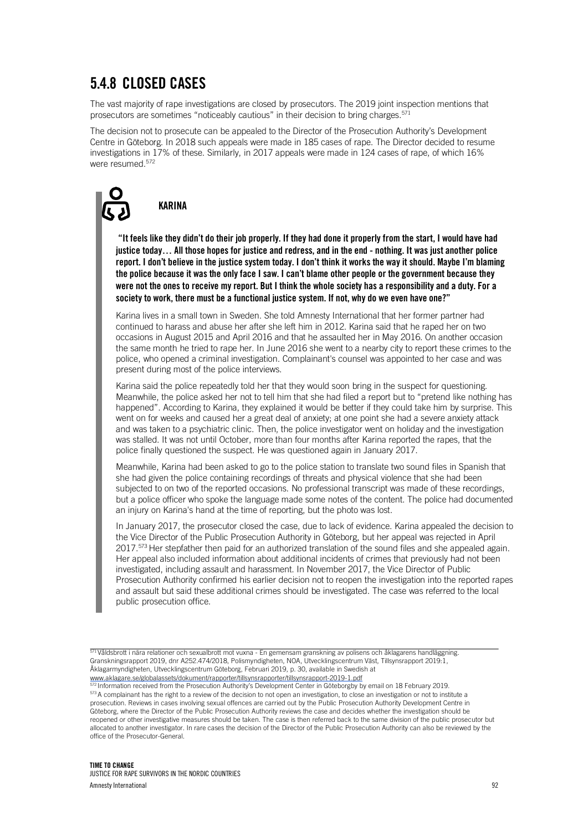## 5.4.8 CLOSED CASES

KARINA

The vast majority of rape investigations are closed by prosecutors. The 2019 joint inspection mentions that prosecutors are sometimes "noticeably cautious" in their decision to bring charges.  $571$ 

The decision not to prosecute can be appealed to the Director of the Prosecution Authority's Development Centre in Göteborg. In 2018 such appeals were made in 185 cases of rape. The Director decided to resume investigations in 17% of these. Similarly, in 2017 appeals were made in 124 cases of rape, of which 16% were resumed. 572

#### "It feels like they didn't do their job properly. If they had done it properly from the start, I would have had justice today… All those hopes for justice and redress, and in the end - nothing. It was just another police report. I don't believe in the justice system today. I don't think it works the way it should. Maybe I'm blaming the police because it was the only face I saw. I can't blame other people or the government because they were not the ones to receive my report. But I think the whole society has a responsibility and a duty. For a society to work, there must be a functional justice system. If not, why do we even have one?"

Karina lives in a small town in Sweden. She told Amnesty International that her former partner had continued to harass and abuse her after she left him in 2012. Karina said that he raped her on two occasions in August 2015 and April 2016 and that he assaulted her in May 2016. On another occasion the same month he tried to rape her. In June 2016 she went to a nearby city to report these crimes to the police, who opened a criminal investigation. Complainant's counsel was appointed to her case and was present during most of the police interviews.

Karina said the police repeatedly told her that they would soon bring in the suspect for questioning. Meanwhile, the police asked her not to tell him that she had filed a report but to "pretend like nothing has happened". According to Karina, they explained it would be better if they could take him by surprise. This went on for weeks and caused her a great deal of anxiety; at one point she had a severe anxiety attack and was taken to a psychiatric clinic. Then, the police investigator went on holiday and the investigation was stalled. It was not until October, more than four months after Karina reported the rapes, that the police finally questioned the suspect. He was questioned again in January 2017.

Meanwhile, Karina had been asked to go to the police station to translate two sound files in Spanish that she had given the police containing recordings of threats and physical violence that she had been subjected to on two of the reported occasions. No professional transcript was made of these recordings, but a police officer who spoke the language made some notes of the content. The police had documented an injury on Karina's hand at the time of reporting, but the photo was lost.

In January 2017, the prosecutor closed the case, due to lack of evidence. Karina appealed the decision to the Vice Director of the Public Prosecution Authority in Göteborg, but her appeal was rejected in April 2017. 573 Her stepfather then paid for an authorized translation of the sound files and she appealed again. Her appeal also included information about additional incidents of crimes that previously had not been investigated, including assault and harassment. In November 2017, the Vice Director of Public Prosecution Authority confirmed his earlier decision not to reopen the investigation into the reported rapes and assault but said these additional crimes should be investigated. The case was referred to the local public prosecution office.

 $\frac{571}{100}$ Våldsbrott i nära relationer och sexualbrott mot vuxna - En gemensam granskning av polisens och åklagarens handläggning. Granskningsrapport 2019, dnr A252.474/2018, Polismyndigheten, NOA, Utvecklingscentrum Väst, Tillsynsrapport 2019:1, Åklagarmyndigheten, Utvecklingscentrum Göteborg, Februari 2019, p. 30, available in Swedish at www.aklagare.se/globalassets/dokument/rapporter/tillsynsrapporter/tillsynsrapport-2019-1.pdf<br>572 Information received from the Dresseutics Authority is in the first state of the process

<sup>22</sup> Information received from the Prosecution Authority's Development Center in Göteborgby by email on 18 February 2019. 573 A complainant has the right to a review of the decision to not open an investigation, to close an investigation or not to institute a prosecution. Reviews in cases involving sexual offences are carried out by the Public Prosecution Authority Development Centre in Göteborg, where the Director of the Public Prosecution Authority reviews the case and decides whether the investigation should be reopened or other investigative measures should be taken. The case is then referred back to the same division of the public prosecutor but allocated to another investigator. In rare cases the decision of the Director of the Public Prosecution Authority can also be reviewed by the office of the Prosecutor-General.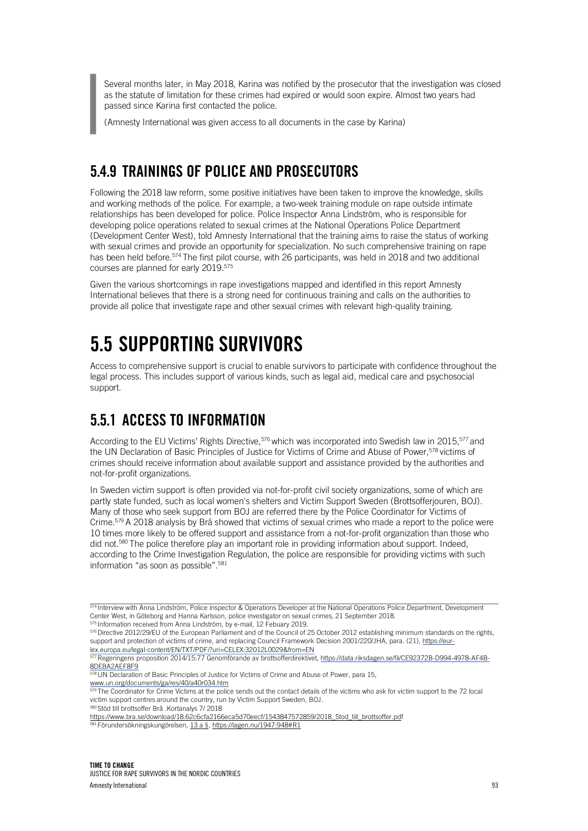Several months later, in May 2018, Karina was notified by the prosecutor that the investigation was closed as the statute of limitation for these crimes had expired or would soon expire. Almost two years had passed since Karina first contacted the police.

(Amnesty International was given access to all documents in the case by Karina)

### 5.4.9 TRAININGS OF POLICE AND PROSECUTORS

Following the 2018 law reform, some positive initiatives have been taken to improve the knowledge, skills and working methods of the police. For example, a two-week training module on rape outside intimate relationships has been developed for police. Police Inspector Anna Lindström, who is responsible for developing police operations related to sexual crimes at the National Operations Police Department (Development Center West), told Amnesty International that the training aims to raise the status of working with sexual crimes and provide an opportunity for specialization. No such comprehensive training on rape has been held before. 574 The first pilot course, with 26 participants, was held in 2018 and two additional courses are planned for early 2019.<sup>575</sup>

Given the various shortcomings in rape investigations mapped and identified in this report Amnesty International believes that there is a strong need for continuous training and calls on the authorities to provide all police that investigate rape and other sexual crimes with relevant high-quality training.

## 5.5 SUPPORTING SURVIVORS

Access to comprehensive support is crucial to enable survivors to participate with confidence throughout the legal process. This includes support of various kinds, such as legal aid, medical care and psychosocial support.

### 5.5.1 ACCESS TO INFORMATION

According to the EU Victims' Rights Directive,<sup>576</sup> which was incorporated into Swedish law in 2015,<sup>577</sup> and the UN Declaration of Basic Principles of Justice for Victims of Crime and Abuse of Power,<sup>578</sup> victims of crimes should receive information about available support and assistance provided by the authorities and not-for-profit organizations.

In Sweden victim support is often provided via not-for-profit civil society organizations, some of which are partly state funded, such as local women's shelters and Victim Support Sweden (Brottsofferjouren, BOJ). Many of those who seek support from BOJ are referred there by the Police Coordinator for Victims of Crime.<sup>579</sup> A 2018 analysis by Brå showed that victims of sexual crimes who made a report to the police were 10 times more likely to be offered support and assistance from a not-for-profit organization than those who did not. 580 The police therefore play an important role in providing information about support. Indeed, according to the Crime Investigation Regulation, the police are responsible for providing victims with such information "as soon as possible".<sup>581</sup>

577 Regeringens proposition 2014/15:77 Genomförande av brottsofferdirektivet, https://data.riksdagen.se/fil/CE92372B-D994-4978-AF4B-**8DEBA2AEF8F9** 

578 UN Declaration of Basic Principles of Justice for Victims of Crime and Abuse of Power, para 15, www.un.org/documents/ga/res/40/a40r034.htm

<sup>79</sup> The Coordinator for Crime Victims at the police sends out the contact details of the victims who ask for victim support to the 72 local victim support centres around the country, run by Victim Support Sweden, BOJ.

580 Stöd till brottsoffer Brå .Kortanalys 7/ 2018

https://www.bra.se/download/18.62c6cfa2166eca5d70eecf/1543847572859/2018\_Stod\_till\_brottsoffer.pdf

<sup>1</sup> Förundersökningskungörelsen, 13 a §, https://lagen.nu/1947:948#R1

 $574$  Interview with Anna Lindström, Police inspector & Operations Developer at the National Operations Police Department, Development Center West, in Göteborg and Hanna Karlsson, police investigator on sexual crimes, 21 September 2018. 575 Information received from Anna Lindström, by e-mail, 12 Febuary 2019.

 $576$  Directive 2012/29/EU of the European Parliament and of the Council of 25 October 2012 establishing minimum standards on the rights, support and protection of victims of crime, and replacing Council Framework Decision 2001/220/JHA, para. (21), https://eurlex.europa.eu/legal-content/EN/TXT/PDF/?uri=CELEX:32012L0029&from=EN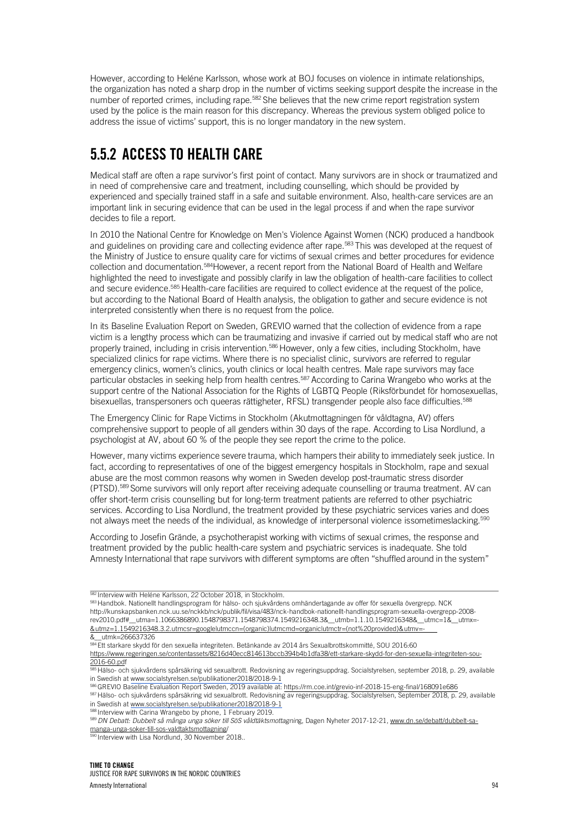However, according to Heléne Karlsson, whose work at BOJ focuses on violence in intimate relationships, the organization has noted a sharp drop in the number of victims seeking support despite the increase in the number of reported crimes, including rape.<sup>582</sup> She believes that the new crime report registration system used by the police is the main reason for this discrepancy. Whereas the previous system obliged police to address the issue of victims' support, this is no longer mandatory in the new system.

## 5.5.2 ACCESS TO HEALTH CARE

Medical staff are often a rape survivor's first point of contact. Many survivors are in shock or traumatized and in need of comprehensive care and treatment, including counselling, which should be provided by experienced and specially trained staff in a safe and suitable environment. Also, health-care services are an important link in securing evidence that can be used in the legal process if and when the rape survivor decides to file a report.

In 2010 the National Centre for Knowledge on Men's Violence Against Women (NCK) produced a handbook and guidelines on providing care and collecting evidence after rape.<sup>583</sup> This was developed at the request of the Ministry of Justice to ensure quality care for victims of sexual crimes and better procedures for evidence collection and documentation.<sup>584</sup>However, a recent report from the National Board of Health and Welfare highlighted the need to investigate and possibly clarify in law the obligation of health-care facilities to collect and secure evidence.<sup>585</sup> Health-care facilities are required to collect evidence at the request of the police, but according to the National Board of Health analysis, the obligation to gather and secure evidence is not interpreted consistently when there is no request from the police.

In its Baseline Evaluation Report on Sweden, GREVIO warned that the collection of evidence from a rape victim is a lengthy process which can be traumatizing and invasive if carried out by medical staff who are not properly trained, including in crisis intervention.<sup>586</sup> However, only a few cities, including Stockholm, have specialized clinics for rape victims. Where there is no specialist clinic, survivors are referred to regular emergency clinics, women's clinics, youth clinics or local health centres. Male rape survivors may face particular obstacles in seeking help from health centres.<sup>587</sup> According to Carina Wrangebo who works at the support centre of the National Association for the Rights of LGBTQ People (Riksförbundet för homosexuellas, bisexuellas, transpersoners och queeras rättigheter, RFSL) transgender people also face difficulties.<sup>588</sup>

The Emergency Clinic for Rape Victims in Stockholm (Akutmottagningen för våldtagna, AV) offers comprehensive support to people of all genders within 30 days of the rape. According to Lisa Nordlund, a psychologist at AV, about 60 % of the people they see report the crime to the police.

However, many victims experience severe trauma, which hampers their ability to immediately seek justice. In fact, according to representatives of one of the biggest emergency hospitals in Stockholm, rape and sexual abuse are the most common reasons why women in Sweden develop post-traumatic stress disorder (PTSD).589 Some survivors will only report after receiving adequate counselling or trauma treatment. AV can offer short-term crisis counselling but for long-term treatment patients are referred to other psychiatric services. According to Lisa Nordlund, the treatment provided by these psychiatric services varies and does not always meet the needs of the individual, as knowledge of interpersonal violence issometimeslacking.<sup>590</sup>

According to Josefin Grände, a psychotherapist working with victims of sexual crimes, the response and treatment provided by the public health-care system and psychiatric services is inadequate. She told Amnesty International that rape survivors with different symptoms are often "shuffled around in the system"

588 Interview with Carina Wrangebo by phone, 1 February 2019.

Interview with Lisa Nordlund, 30 November 2018..

 $582$  Interview with Heléne Karlsson, 22 October 2018, in Stockholm.

<sup>583</sup> Handbok. Nationellt handlingsprogram för hälso- och sjukvårdens omhändertagande av offer för sexuella övergrepp. NCK http://kunskapsbanken.nck.uu.se/nckkb/nck/publik/fil/visa/483/nck-handbok-nationellt-handlingsprogram-sexuella-overgrepp-2008 rev2010.pdf#\_\_utma=1.1066386890.1548798371.1548798374.1549216348.3&\_\_utmb=1.1.10.1549216348&\_\_utmc=1&\_\_utmx=- &utmz=1.1549216348.3.2.utmcsr=google|utmccn=(organic)|utmcmd=organic|utmctr=(not%20provided)&utmv=-

<sup>&</sup>amp;\_\_utmk=266637326

<sup>584</sup> Ett starkare skydd för den sexuella integriteten. Betänkande av 2014 års Sexualbrottskommitté, SOU 2016:60

https://www.regeringen.se/contentassets/8216d40ecc814613bccb394b4b1dfa38/ett-starkare-skydd-for-den 2016-60.pdf

<sup>585</sup> Hälso- och sjukvårdens spårsäkring vid sexualbrott. Redovisning av regeringsuppdrag. Socialstyrelsen, september 2018, p. 29, available in Swedish at www.socialstyrelsen.se/publikationer2018/2018-9-1

<sup>586</sup> GREVIO Baseline Evaluation Report Sweden, 2019 available at: https://rm.coe.int/grevio-inf-2018-15-eng-final/168091e686

<sup>587</sup> Hälso- och sjukvårdens spårsäkring vid sexualbrott. Redovisning av regeringsuppdrag. Socialstyrelsen, September 2018, p. 29, available in Swedish at www.socialstyrelsen.se/publikationer2018/2018-9-1

<sup>589</sup> *DN Debatt: Dubbelt så många unga söker till SöS våldtäktsmottagnin*g, Dagen Nyheter 2017-12-21, www.dn.se/debatt/dubbelt-samanga-unga-soker-till-sos-valdtaktsmottagning/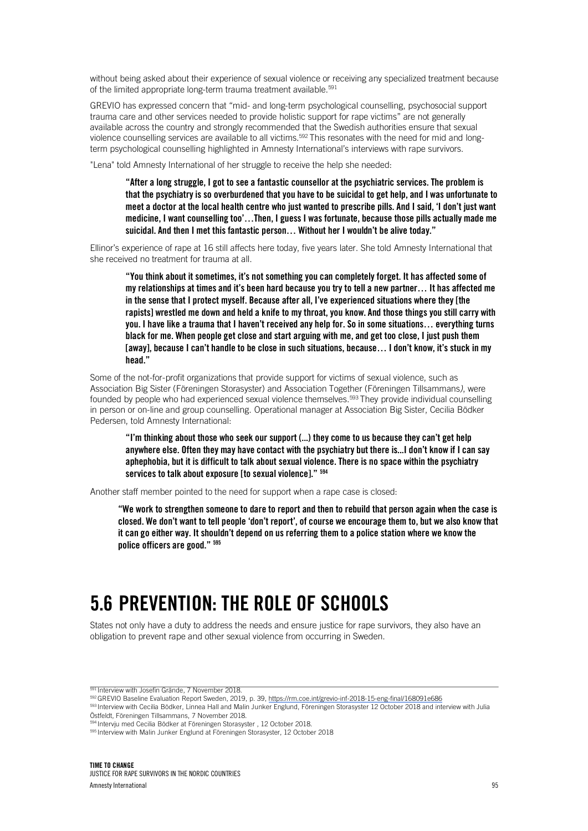without being asked about their experience of sexual violence or receiving any specialized treatment because of the limited appropriate long-term trauma treatment available.<sup>591</sup>

GREVIO has expressed concern that "mid- and long-term psychological counselling, psychosocial support trauma care and other services needed to provide holistic support for rape victims" are not generally available across the country and strongly recommended that the Swedish authorities ensure that sexual violence counselling services are available to all victims.592 This resonates with the need for mid and longterm psychological counselling highlighted in Amnesty International's interviews with rape survivors.

"Lena" told Amnesty International of her struggle to receive the help she needed:

"After a long struggle, I got to see a fantastic counsellor at the psychiatric services. The problem is that the psychiatry is so overburdened that you have to be suicidal to get help, and I was unfortunate to meet a doctor at the local health centre who just wanted to prescribe pills. And I said, 'I don't just want medicine, I want counselling too'…Then, I guess I was fortunate, because those pills actually made me suicidal. And then I met this fantastic person… Without her I wouldn't be alive today."

Ellinor's experience of rape at 16 still affects here today, five years later. She told Amnesty International that she received no treatment for trauma at all.

"You think about it sometimes, it's not something you can completely forget. It has affected some of my relationships at times and it's been hard because you try to tell a new partner… It has affected me in the sense that I protect myself. Because after all, I've experienced situations where they [the rapists] wrestled me down and held a knife to my throat, you know. And those things you still carry with you. I have like a trauma that I haven't received any help for. So in some situations… everything turns black for me. When people get close and start arguing with me, and get too close, I just push them [away], because I can't handle to be close in such situations, because… I don't know, it's stuck in my head."

Some of the not-for-profit organizations that provide support for victims of sexual violence, such as Association Big Sister (Föreningen Storasyster) and Association Together (Föreningen Tillsammans*)*, were founded by people who had experienced sexual violence themselves.<sup>593</sup> They provide individual counselling in person or on-line and group counselling. Operational manager at Association Big Sister, Cecilia Bödker Pedersen, told Amnesty International:

"I'm thinking about those who seek our support (...) they come to us because they can't get help anywhere else. Often they may have contact with the psychiatry but there is...I don't know if I can say aphephobia, but it is difficult to talk about sexual violence. There is no space within the psychiatry services to talk about exposure [to sexual violence]."  $594$ 

Another staff member pointed to the need for support when a rape case is closed:

"We work to strengthen someone to dare to report and then to rebuild that person again when the case is closed. We don't want to tell people 'don't report', of course we encourage them to, but we also know that it can go either way. It shouldn't depend on us referring them to a police station where we know the police officers are good." 595

## 5.6 PREVENTION: THE ROLE OF SCHOOLS

States not only have a duty to address the needs and ensure justice for rape survivors, they also have an obligation to prevent rape and other sexual violence from occurring in Sweden.

593 Interview with Cecilia Bödker, Linnea Hall and Malin Junker Englund, Föreningen Storasyster 12 October 2018 and interview with Julia Östfeldt, Föreningen Tillsammans, 7 November 2018.

<sup>&</sup>lt;sup>591</sup> Interview with Josefin Grände, 7 November 2018.

<sup>592</sup> GREVIO Baseline Evaluation Report Sweden, 2019, p. 39, https://rm.coe.int/grevio-inf-2018-15-eng-final/168091e686

<sup>594</sup> Intervju med Cecilia Bödker at Föreningen Storasyster , 12 October 2018.

<sup>595</sup> Interview with Malin Junker Englund at Föreningen Storasyster, 12 October 2018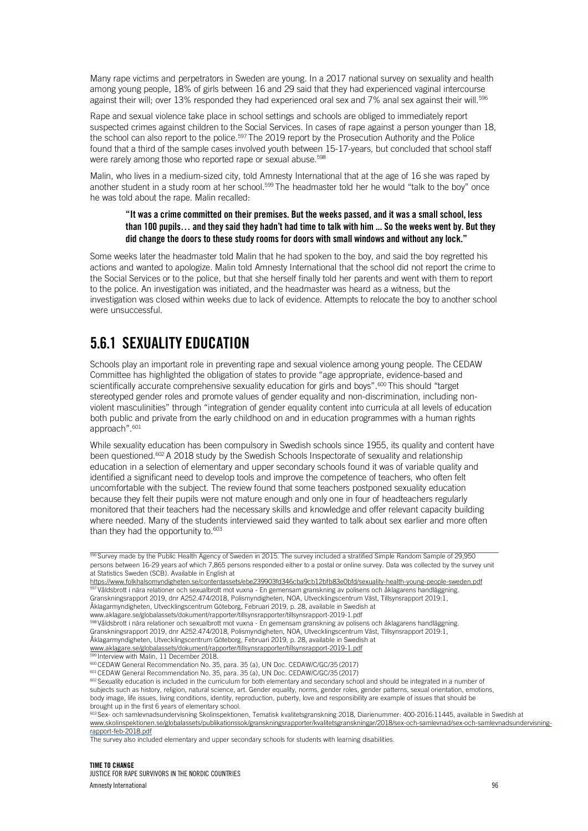Many rape victims and perpetrators in Sweden are young. In a 2017 national survey on sexuality and health among young people, 18% of girls between 16 and 29 said that they had experienced vaginal intercourse against their will; over 13% responded they had experienced oral sex and 7% anal sex against their will.<sup>596</sup>

Rape and sexual violence take place in school settings and schools are obliged to immediately report suspected crimes against children to the Social Services. In cases of rape against a person younger than 18, the school can also report to the police.<sup>597</sup> The 2019 report by the Prosecution Authority and the Police found that a third of the sample cases involved youth between 15-17-years, but concluded that school staff were rarely among those who reported rape or sexual abuse. 598

Malin, who lives in a medium-sized city, told Amnesty International that at the age of 16 she was raped by another student in a study room at her school.<sup>599</sup> The headmaster told her he would "talk to the boy" once he was told about the rape. Malin recalled:

#### "It was a crime committed on their premises. But the weeks passed, and it was a small school, less than 100 pupils… and they said they hadn't had time to talk with him ... So the weeks went by. But they did change the doors to these study rooms for doors with small windows and without any lock."

Some weeks later the headmaster told Malin that he had spoken to the boy, and said the boy regretted his actions and wanted to apologize. Malin told Amnesty International that the school did not report the crime to the Social Services or to the police, but that she herself finally told her parents and went with them to report to the police. An investigation was initiated, and the headmaster was heard as a witness, but the investigation was closed within weeks due to lack of evidence. Attempts to relocate the boy to another school were unsuccessful.

## 5.6.1 SEXUALITY EDUCATION

Schools play an important role in preventing rape and sexual violence among young people. The CEDAW Committee has highlighted the obligation of states to provide "age appropriate, evidence-based and scientifically accurate comprehensive sexuality education for girls and boys".<sup>600</sup> This should "target stereotyped gender roles and promote values of gender equality and non-discrimination, including nonviolent masculinities" through "integration of gender equality content into curricula at all levels of education both public and private from the early childhood on and in education programmes with a human rights approach".601

While sexuality education has been compulsory in Swedish schools since 1955, its quality and content have been questioned. 602 A 2018 study by the Swedish Schools Inspectorate of sexuality and relationship education in a selection of elementary and upper secondary schools found it was of variable quality and identified a significant need to develop tools and improve the competence of teachers, who often felt uncomfortable with the subject. The review found that some teachers postponed sexuality education because they felt their pupils were not mature enough and only one in four of headteachers regularly monitored that their teachers had the necessary skills and knowledge and offer relevant capacity building where needed. Many of the students interviewed said they wanted to talk about sex earlier and more often than they had the opportunity to.<sup>603</sup>

598 Våldsbrott i nära relationer och sexualbrott mot vuxna - En gemensam granskning av polisens och åklagarens handläggning. Granskningsrapport 2019, dnr A252.474/2018, Polismyndigheten, NOA, Utvecklingscentrum Väst, Tillsynsrapport 2019:1, Åklagarmyndigheten, Utvecklingscentrum Göteborg, Februari 2019, p. 28, available in Swedish at www.aklagare.se/globalassets/dokument/rapporter/tillsynsrapporter/tillsynsrapport-2019-1.pdf

Interview with Malin, 11 December 2018.

<sup>600</sup> CEDAW General Recommendation No. 35, para. 35 (a), UN Doc. CEDAW/C/GC/35 (2017)

<sup>601</sup> CEDAW General Recommendation No. 35, para. 35 (a), UN Doc. CEDAW/C/GC/35 (2017)

603 Sex- och samlevnadsundervisning Skolinspektionen, Tematisk kvalitetsgranskning 2018, Diarienummer: 400-2016:11445, available in Swedish at www.skolinspektionen.se/globalassets/publikationssok/granskningsrapporter/kvalitetsgranskningar/2018/sex-och-samlevnad/sex-och-samlevnadsundervisningrapport-feb-2018.pdf

The survey also included elementary and upper secondary schools for students with learning disabilities.

<sup>596</sup> Survey made by the Public Health Agency of Sweden in 2015. The survey included a stratified Simple Random Sample of 29,950 persons between 16-29 years aof which 7,865 persons responded either to a postal or online survey. Data was collected by the survey unit at Statistics Sweden (SCB). Available in English at

https://www.folkhalsomyndigheten.se/contentassets/ebe239903fd346cba9cb12bfb83e0bfd/sexuality-health-young-people-swed 597 Våldsbrott i nära relationer och sexualbrott mot vuxna - En gemensam granskning av polisens och åklagarens handläggning. Granskningsrapport 2019, dnr A252.474/2018, Polismyndigheten, NOA, Utvecklingscentrum Väst, Tillsynsrapport 2019:1, Åklagarmyndigheten, Utvecklingscentrum Göteborg, Februari 2019, p. 28, available in Swedish at www.aklagare.se/globalassets/dokument/rapporter/tillsynsrapporter/tillsynsrapport-2019-1.pdf

<sup>602</sup> Sexuality education is included in the curriculum for both elementary and secondary school and should be integrated in a number of subjects such as history, religion, natural science, art. Gender equality, norms, gender roles, gender patterns, sexual orientation, emotions, body image, life issues, living conditions, identity, reproduction, puberty, love and responsibility are example of issues that should be brought up in the first 6 years of elementary school.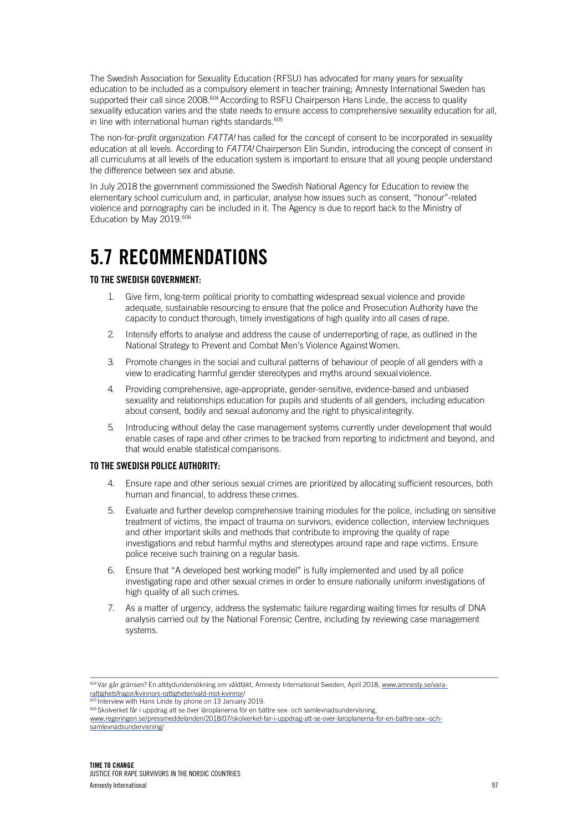The Swedish Association for Sexuality Education (RFSU) has advocated for many years for sexuality education to be included as a compulsory element in teacher training; Amnesty International Sweden has supported their call since 2008.<sup>604</sup> According to RSFU Chairperson Hans Linde, the access to quality sexuality education varies and the state needs to ensure access to comprehensive sexuality education for all, in line with international human rights standards. 605

The non-for-profit organization *FATTA!* has called for the concept of consent to be incorporated in sexuality education at all levels. According to *FATTA!* Chairperson Elin Sundin, introducing the concept of consent in all curriculums at all levels of the education system is important to ensure that all young people understand the difference between sex and abuse.

In July 2018 the government commissioned the Swedish National Agency for Education to review the elementary school curriculum and, in particular, analyse how issues such as consent, "honour"-related violence and pornography can be included in it. The Agency is due to report back to the Ministry of Education by May 2019.<sup>606</sup>

## 5.7 RECOMMENDATIONS

#### TO THE SWEDISH GOVERNMENT:

- 1. Give firm, long-term political priority to combatting widespread sexual violence and provide adequate, sustainable resourcing to ensure that the police and Prosecution Authority have the capacity to conduct thorough, timely investigations of high quality into all cases ofrape.
- 2. Intensify efforts to analyse and address the cause of underreporting of rape, as outlined in the National Strategy to Prevent and Combat Men's Violence Against Women.
- 3. Promote changes in the social and cultural patterns of behaviour of people of all genders with a view to eradicating harmful gender stereotypes and myths around sexualviolence.
- 4. Providing comprehensive, age-appropriate, gender-sensitive, evidence-based and unbiased sexuality and relationships education for pupils and students of all genders, including education about consent, bodily and sexual autonomy and the right to physicalintegrity.
- 5. Introducing without delay the case management systems currently under development that would enable cases of rape and other crimes to be tracked from reporting to indictment and beyond, and that would enable statistical comparisons.

#### TO THE SWEDISH POLICE AUTHORITY:

- 4. Ensure rape and other serious sexual crimes are prioritized by allocating sufficient resources, both human and financial, to address these crimes.
- 5. Evaluate and further develop comprehensive training modules for the police, including on sensitive treatment of victims, the impact of trauma on survivors, evidence collection, interview techniques and other important skills and methods that contribute to improving the quality of rape investigations and rebut harmful myths and stereotypes around rape and rape victims. Ensure police receive such training on a regular basis.
- 6. Ensure that "A developed best working model" is fully implemented and used by all police investigating rape and other sexual crimes in order to ensure nationally uniform investigations of high quality of all such crimes.
- 7. As a matter of urgency, address the systematic failure regarding waiting times for results of DNA analysis carried out by the National Forensic Centre, including by reviewing case management systems.

604 Var går gränsen? En attitydundersökning om våldtäkt, Amnesty International Sweden, April 2018, www.amnesty.se/vararattighetsfragor/kvinnors-rattigheter/vald-mot-kvinnor/<br>
<sup>605</sup> Intonious with Use Microsoft Contraction of

Interview with Hans Linde by phone on 13 January 2019.

606 Skolverket får i uppdrag att se över läroplanerna för en bättre sex- och samlevnadsundervisning,

www.regeringen.se/pressmeddelanden/2018/07/skolverket-far-i-uppdrag-att-se-over-laroplanerna-for-en-battre-sex--ochsamlevnadsundervisning/